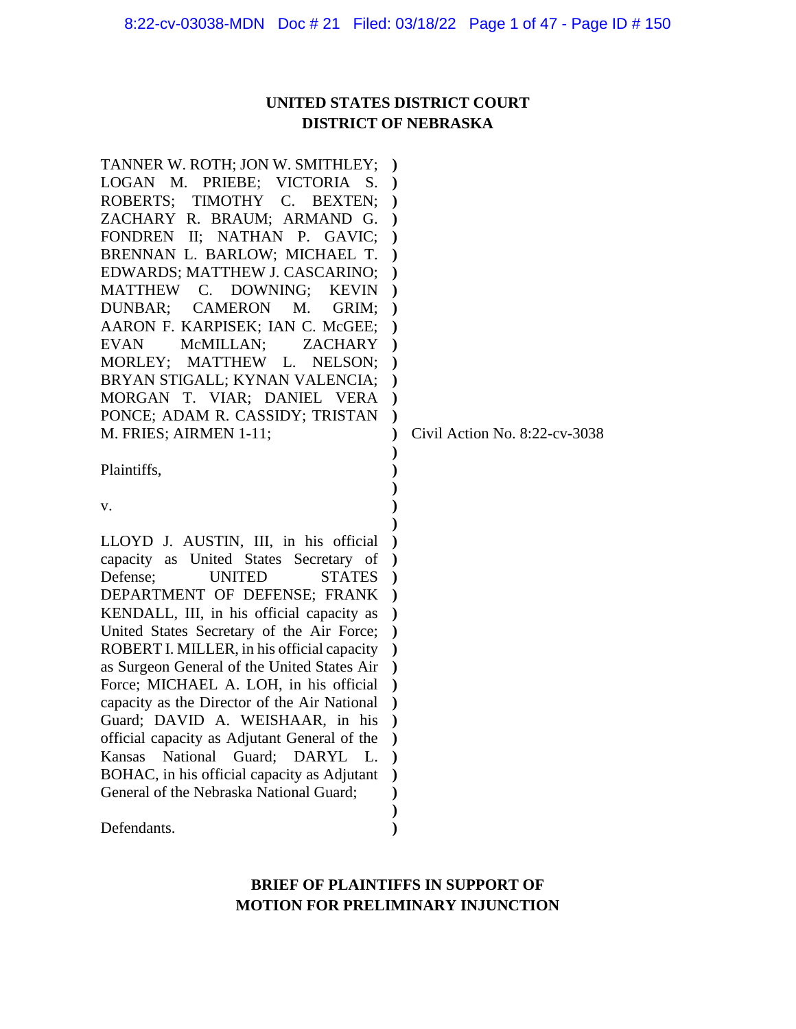# **UNITED STATES DISTRICT COURT DISTRICT OF NEBRASKA**

| TANNER W. ROTH; JON W. SMITHLEY;             | $\lambda$     |                               |
|----------------------------------------------|---------------|-------------------------------|
| LOGAN M. PRIEBE; VICTORIA<br>S.              |               |                               |
| ROBERTS; TIMOTHY C. BEXTEN;                  |               |                               |
| ZACHARY R. BRAUM; ARMAND G.                  |               |                               |
| FONDREN II; NATHAN P. GAVIC;                 |               |                               |
| BRENNAN L. BARLOW; MICHAEL T.                |               |                               |
| EDWARDS; MATTHEW J. CASCARINO;               |               |                               |
| MATTHEW C. DOWNING;<br><b>KEVIN</b>          |               |                               |
| <b>CAMERON</b><br>DUNBAR;<br>M.<br>GRIM;     |               |                               |
| AARON F. KARPISEK; IAN C. McGEE;             |               |                               |
| McMILLAN;<br>EVAN<br><b>ZACHARY</b>          |               |                               |
| MORLEY;<br>MATTHEW L.<br>NELSON;             |               |                               |
| BRYAN STIGALL; KYNAN VALENCIA;               |               |                               |
| MORGAN T. VIAR; DANIEL VERA                  |               |                               |
| PONCE; ADAM R. CASSIDY; TRISTAN              | $\mathcal{E}$ |                               |
| M. FRIES; AIRMEN 1-11;                       |               | Civil Action No. 8:22-cv-3038 |
|                                              |               |                               |
| Plaintiffs,                                  |               |                               |
|                                              |               |                               |
| v.                                           |               |                               |
|                                              |               |                               |
| LLOYD J. AUSTIN, III, in his official        |               |                               |
| capacity as United States Secretary of       |               |                               |
| Defense;<br><b>UNITED</b><br><b>STATES</b>   |               |                               |
| DEPARTMENT OF DEFENSE; FRANK                 |               |                               |
| KENDALL, III, in his official capacity as    |               |                               |
| United States Secretary of the Air Force;    |               |                               |
| ROBERT I. MILLER, in his official capacity   |               |                               |
| as Surgeon General of the United States Air  | $\lambda$     |                               |
| Force; MICHAEL A. LOH, in his official       |               |                               |
| capacity as the Director of the Air National |               |                               |
| Guard; DAVID A. WEISHAAR, in his             |               |                               |
| official capacity as Adjutant General of the |               |                               |
| National Guard; DARYL L.<br>Kansas           |               |                               |
| BOHAC, in his official capacity as Adjutant  |               |                               |
| General of the Nebraska National Guard;      |               |                               |
|                                              |               |                               |
| Defendants.                                  |               |                               |
|                                              |               |                               |

# **BRIEF OF PLAINTIFFS IN SUPPORT OF MOTION FOR PRELIMINARY INJUNCTION**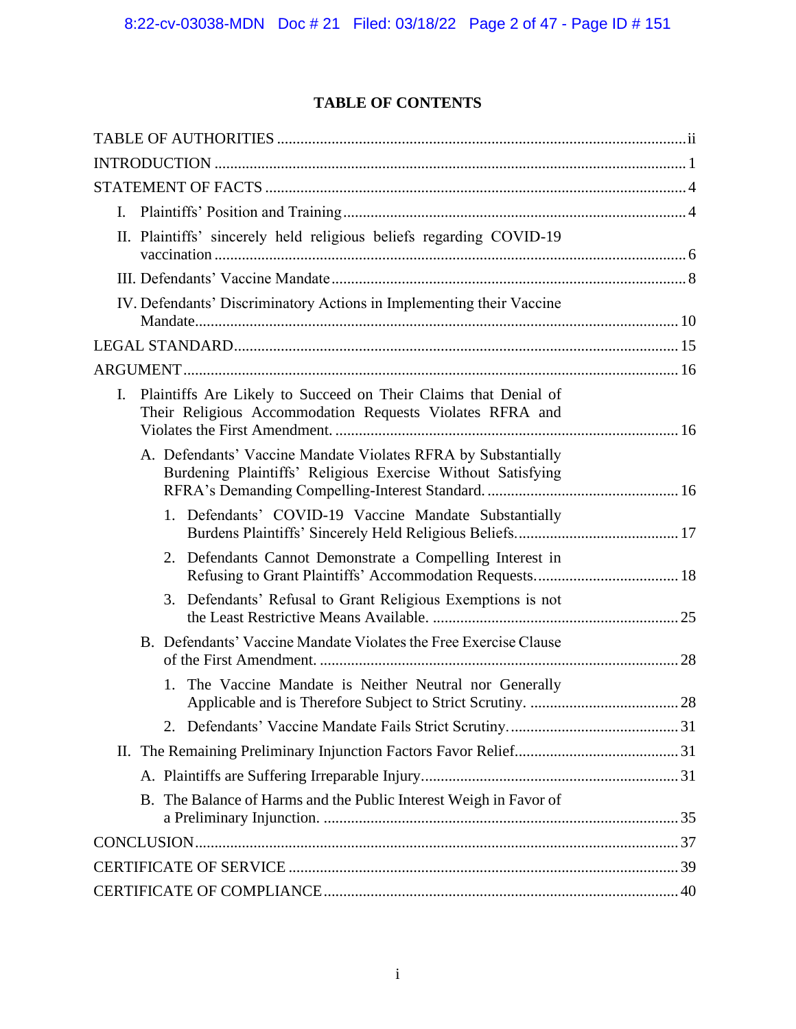# **TABLE OF CONTENTS**

| $\mathbf{I}$ .                                                                                                                    |  |
|-----------------------------------------------------------------------------------------------------------------------------------|--|
| II. Plaintiffs' sincerely held religious beliefs regarding COVID-19                                                               |  |
|                                                                                                                                   |  |
| IV. Defendants' Discriminatory Actions in Implementing their Vaccine                                                              |  |
|                                                                                                                                   |  |
|                                                                                                                                   |  |
| Plaintiffs Are Likely to Succeed on Their Claims that Denial of<br>I.<br>Their Religious Accommodation Requests Violates RFRA and |  |
| A. Defendants' Vaccine Mandate Violates RFRA by Substantially<br>Burdening Plaintiffs' Religious Exercise Without Satisfying      |  |
| 1. Defendants' COVID-19 Vaccine Mandate Substantially                                                                             |  |
| 2. Defendants Cannot Demonstrate a Compelling Interest in                                                                         |  |
| 3. Defendants' Refusal to Grant Religious Exemptions is not                                                                       |  |
| B. Defendants' Vaccine Mandate Violates the Free Exercise Clause                                                                  |  |
| The Vaccine Mandate is Neither Neutral nor Generally<br>$1_{-}$                                                                   |  |
| 2.                                                                                                                                |  |
|                                                                                                                                   |  |
|                                                                                                                                   |  |
| B. The Balance of Harms and the Public Interest Weigh in Favor of                                                                 |  |
|                                                                                                                                   |  |
|                                                                                                                                   |  |
|                                                                                                                                   |  |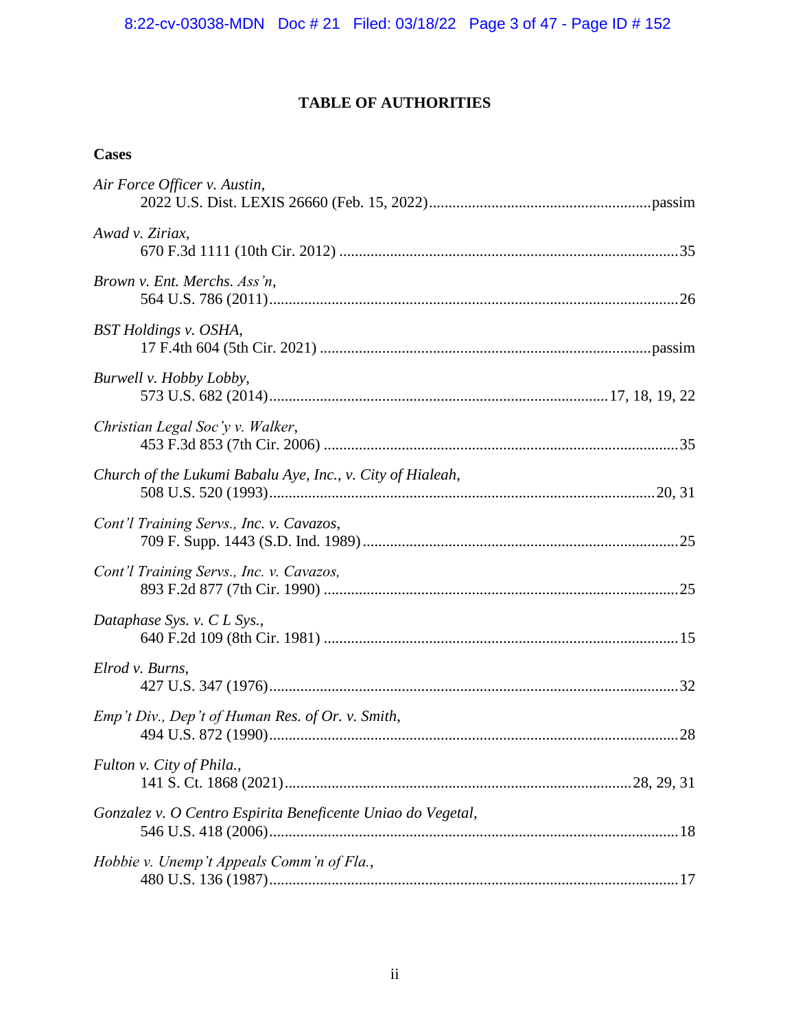# **TABLE OF AUTHORITIES**

# **Cases**

| Air Force Officer v. Austin,                                |  |
|-------------------------------------------------------------|--|
| Awad v. Ziriax,                                             |  |
| Brown v. Ent. Merchs. Ass'n,                                |  |
| BST Holdings v. OSHA,                                       |  |
| Burwell v. Hobby Lobby,                                     |  |
| Christian Legal Soc'y v. Walker,                            |  |
| Church of the Lukumi Babalu Aye, Inc., v. City of Hialeah,  |  |
| Cont'l Training Servs., Inc. v. Cavazos,                    |  |
| Cont'l Training Servs., Inc. v. Cavazos,                    |  |
| Dataphase Sys. v. C L Sys.,                                 |  |
| Elrod v. Burns,                                             |  |
| Emp't Div., Dep't of Human Res. of Or. v. Smith,            |  |
| Fulton v. City of Phila.,                                   |  |
| Gonzalez v. O Centro Espirita Beneficente Uniao do Vegetal, |  |
| Hobbie v. Unemp't Appeals Comm'n of Fla.,                   |  |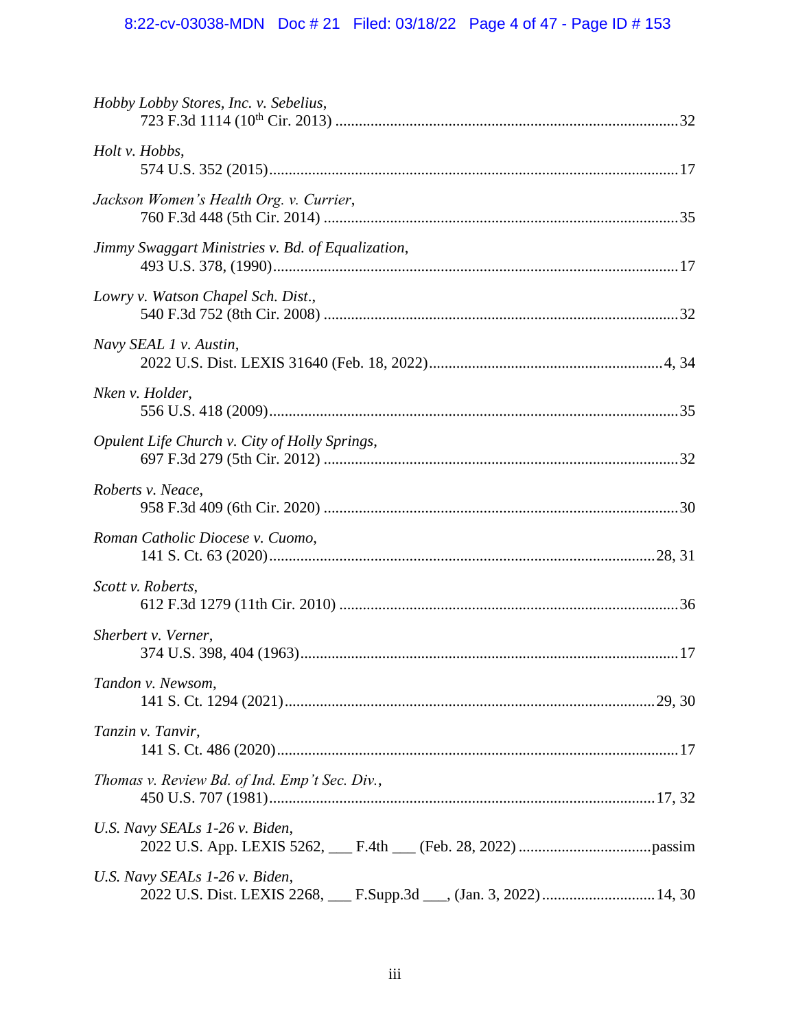# 8:22-cv-03038-MDN Doc # 21 Filed: 03/18/22 Page 4 of 47 - Page ID # 153

| Hobby Lobby Stores, Inc. v. Sebelius,                                                                 |  |
|-------------------------------------------------------------------------------------------------------|--|
| Holt v. Hobbs,                                                                                        |  |
| Jackson Women's Health Org. v. Currier,                                                               |  |
| Jimmy Swaggart Ministries v. Bd. of Equalization,                                                     |  |
| Lowry v. Watson Chapel Sch. Dist.,                                                                    |  |
| Navy SEAL 1 v. Austin,                                                                                |  |
| Nken v. Holder,                                                                                       |  |
| Opulent Life Church v. City of Holly Springs,                                                         |  |
| Roberts v. Neace,                                                                                     |  |
| Roman Catholic Diocese v. Cuomo,                                                                      |  |
| Scott v. Roberts,                                                                                     |  |
| Sherbert v. Verner,                                                                                   |  |
| Tandon v. Newsom,                                                                                     |  |
| Tanzin v. Tanvir,                                                                                     |  |
| Thomas v. Review Bd. of Ind. Emp't Sec. Div.,                                                         |  |
| U.S. Navy SEALs 1-26 v. Biden,                                                                        |  |
| U.S. Navy SEALs 1-26 v. Biden,<br>2022 U.S. Dist. LEXIS 2268, F.Supp.3d Supp.3d Supp.3d 2022)  14, 30 |  |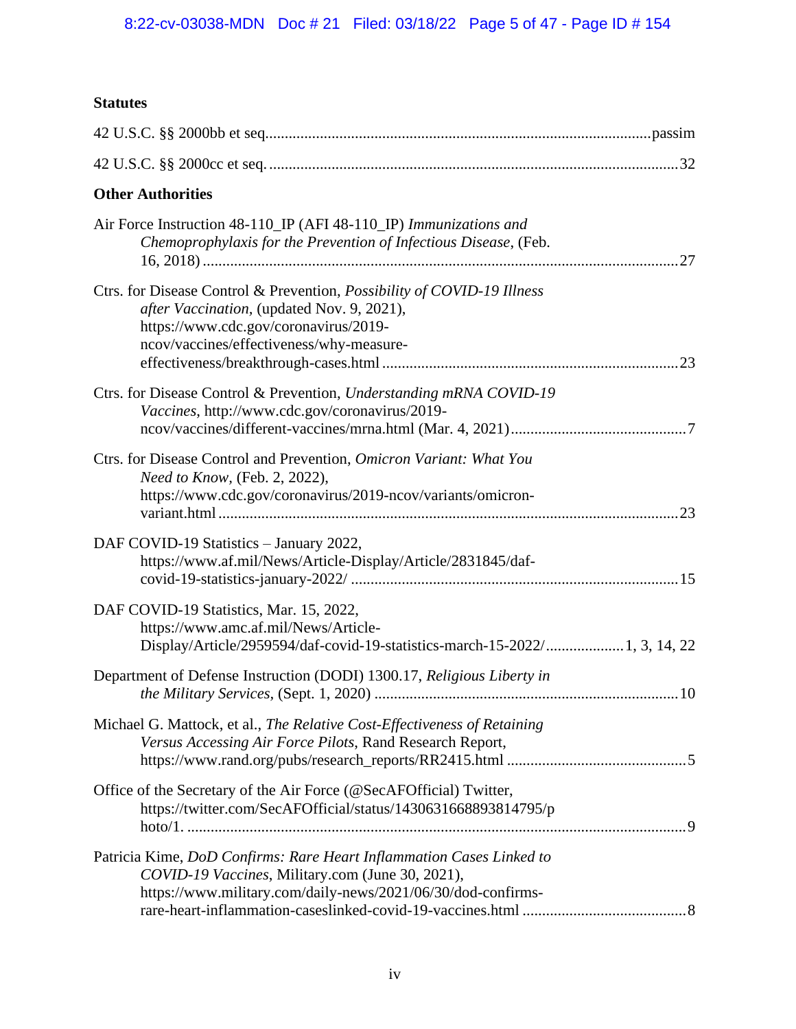# **Statutes**

| <b>Other Authorities</b>                                                                                                                                                                                          |  |
|-------------------------------------------------------------------------------------------------------------------------------------------------------------------------------------------------------------------|--|
| Air Force Instruction 48-110_IP (AFI 48-110_IP) Immunizations and<br>Chemoprophylaxis for the Prevention of Infectious Disease, (Feb.                                                                             |  |
| Ctrs. for Disease Control & Prevention, <i>Possibility of COVID-19 Illness</i><br>after Vaccination, (updated Nov. 9, 2021),<br>https://www.cdc.gov/coronavirus/2019-<br>ncov/vaccines/effectiveness/why-measure- |  |
| Ctrs. for Disease Control & Prevention, Understanding mRNA COVID-19<br>Vaccines, http://www.cdc.gov/coronavirus/2019-                                                                                             |  |
| Ctrs. for Disease Control and Prevention, Omicron Variant: What You<br>Need to Know, (Feb. 2, 2022),<br>https://www.cdc.gov/coronavirus/2019-ncov/variants/omicron-                                               |  |
| DAF COVID-19 Statistics - January 2022,<br>https://www.af.mil/News/Article-Display/Article/2831845/daf-                                                                                                           |  |
| DAF COVID-19 Statistics, Mar. 15, 2022,<br>https://www.amc.af.mil/News/Article-<br>Display/Article/2959594/daf-covid-19-statistics-march-15-2022/ 1, 3, 14, 22                                                    |  |
| Department of Defense Instruction (DODI) 1300.17, Religious Liberty in                                                                                                                                            |  |
| Michael G. Mattock, et al., The Relative Cost-Effectiveness of Retaining<br>Versus Accessing Air Force Pilots, Rand Research Report,                                                                              |  |
| Office of the Secretary of the Air Force (@SecAFOfficial) Twitter,<br>https://twitter.com/SecAFOfficial/status/1430631668893814795/p                                                                              |  |
| Patricia Kime, DoD Confirms: Rare Heart Inflammation Cases Linked to<br>COVID-19 Vaccines, Military.com (June 30, 2021),<br>https://www.military.com/daily-news/2021/06/30/dod-confirms-                          |  |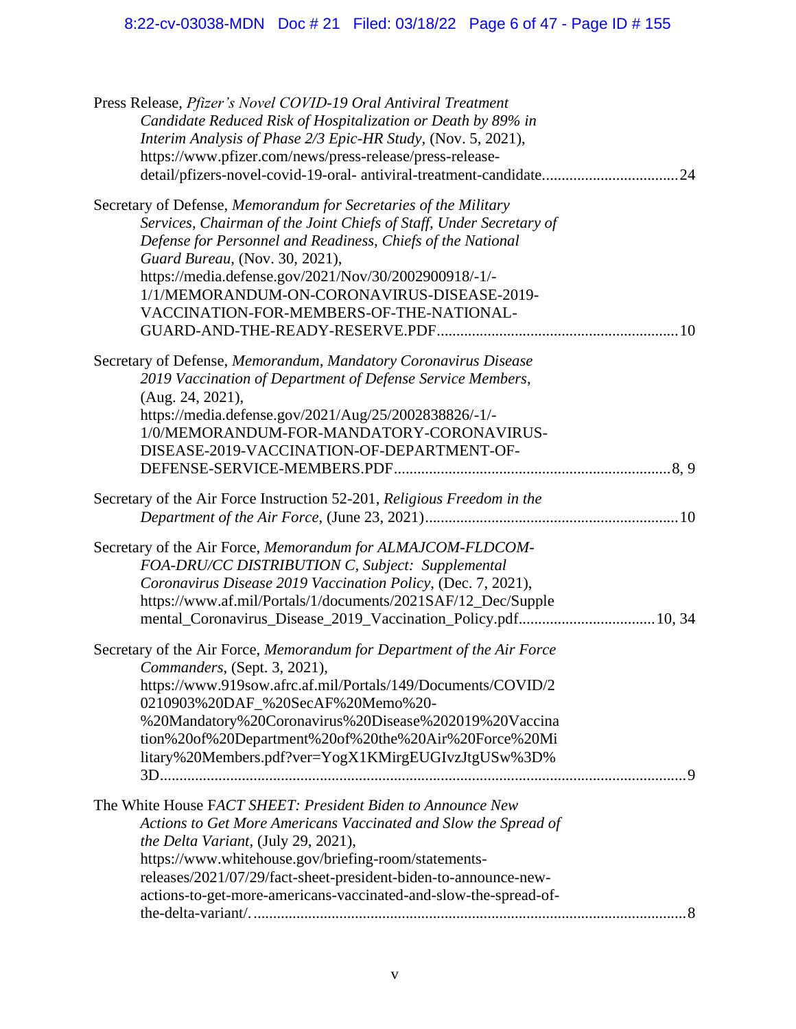| Press Release, Pfizer's Novel COVID-19 Oral Antiviral Treatment         |
|-------------------------------------------------------------------------|
| Candidate Reduced Risk of Hospitalization or Death by 89% in            |
| Interim Analysis of Phase 2/3 Epic-HR Study, (Nov. 5, 2021),            |
| https://www.pfizer.com/news/press-release/press-release-                |
| detail/pfizers-novel-covid-19-oral- antiviral-treatment-candidate 24    |
|                                                                         |
| Secretary of Defense, Memorandum for Secretaries of the Military        |
| Services, Chairman of the Joint Chiefs of Staff, Under Secretary of     |
| Defense for Personnel and Readiness, Chiefs of the National             |
| Guard Bureau, (Nov. 30, 2021),                                          |
| https://media.defense.gov/2021/Nov/30/2002900918/-1/-                   |
| 1/1/MEMORANDUM-ON-CORONAVIRUS-DISEASE-2019-                             |
| VACCINATION-FOR-MEMBERS-OF-THE-NATIONAL-                                |
|                                                                         |
|                                                                         |
| Secretary of Defense, Memorandum, Mandatory Coronavirus Disease         |
| 2019 Vaccination of Department of Defense Service Members,              |
| (Aug. 24, 2021),                                                        |
| https://media.defense.gov/2021/Aug/25/2002838826/-1/-                   |
| 1/0/MEMORANDUM-FOR-MANDATORY-CORONAVIRUS-                               |
| DISEASE-2019-VACCINATION-OF-DEPARTMENT-OF-                              |
|                                                                         |
|                                                                         |
| Secretary of the Air Force Instruction 52-201, Religious Freedom in the |
|                                                                         |
|                                                                         |
| Secretary of the Air Force, Memorandum for ALMAJCOM-FLDCOM-             |
| FOA-DRU/CC DISTRIBUTION C, Subject: Supplemental                        |
| Coronavirus Disease 2019 Vaccination Policy, (Dec. 7, 2021),            |
| https://www.af.mil/Portals/1/documents/2021SAF/12_Dec/Supple            |
|                                                                         |
|                                                                         |
| Secretary of the Air Force, Memorandum for Department of the Air Force  |
| Commanders, (Sept. 3, 2021),                                            |
| https://www.919sow.afrc.af.mil/Portals/149/Documents/COVID/2            |
| 0210903%20DAF_%20SecAF%20Memo%20-                                       |
| %20Mandatory%20Coronavirus%20Disease%202019%20Vaccina                   |
| tion%20of%20Department%20of%20the%20Air%20Force%20Mi                    |
| litary%20Members.pdf?ver=YogX1KMirgEUGIvzJtgUSw%3D%                     |
| $\overline{Q}$                                                          |
| The White House FACT SHEET: President Biden to Announce New             |
|                                                                         |
| Actions to Get More Americans Vaccinated and Slow the Spread of         |
| the Delta Variant, (July 29, 2021),                                     |
| https://www.whitehouse.gov/briefing-room/statements-                    |
| releases/2021/07/29/fact-sheet-president-biden-to-announce-new-         |
| actions-to-get-more-americans-vaccinated-and-slow-the-spread-of-        |
|                                                                         |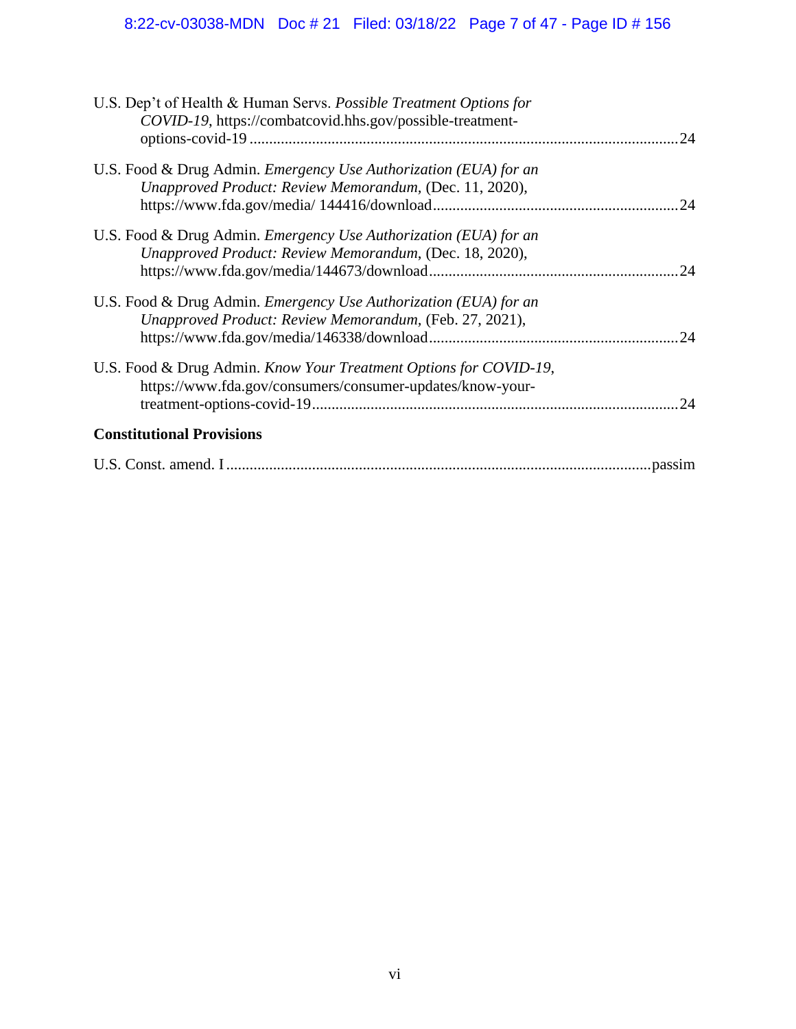# 8:22-cv-03038-MDN Doc # 21 Filed: 03/18/22 Page 7 of 47 - Page ID # 156

| U.S. Dep't of Health & Human Servs. Possible Treatment Options for<br>COVID-19, https://combatcovid.hhs.gov/possible-treatment-    |     |
|------------------------------------------------------------------------------------------------------------------------------------|-----|
| U.S. Food & Drug Admin. Emergency Use Authorization (EUA) for an<br>Unapproved Product: Review Memorandum, (Dec. 11, 2020),        |     |
| U.S. Food & Drug Admin. <i>Emergency Use Authorization (EUA) for an</i><br>Unapproved Product: Review Memorandum, (Dec. 18, 2020), | 24  |
| U.S. Food & Drug Admin. Emergency Use Authorization (EUA) for an<br>Unapproved Product: Review Memorandum, (Feb. 27, 2021),        | 24  |
| U.S. Food & Drug Admin. Know Your Treatment Options for COVID-19,<br>https://www.fda.gov/consumers/consumer-updates/know-your-     | .24 |
| <b>Constitutional Provisions</b>                                                                                                   |     |
|                                                                                                                                    |     |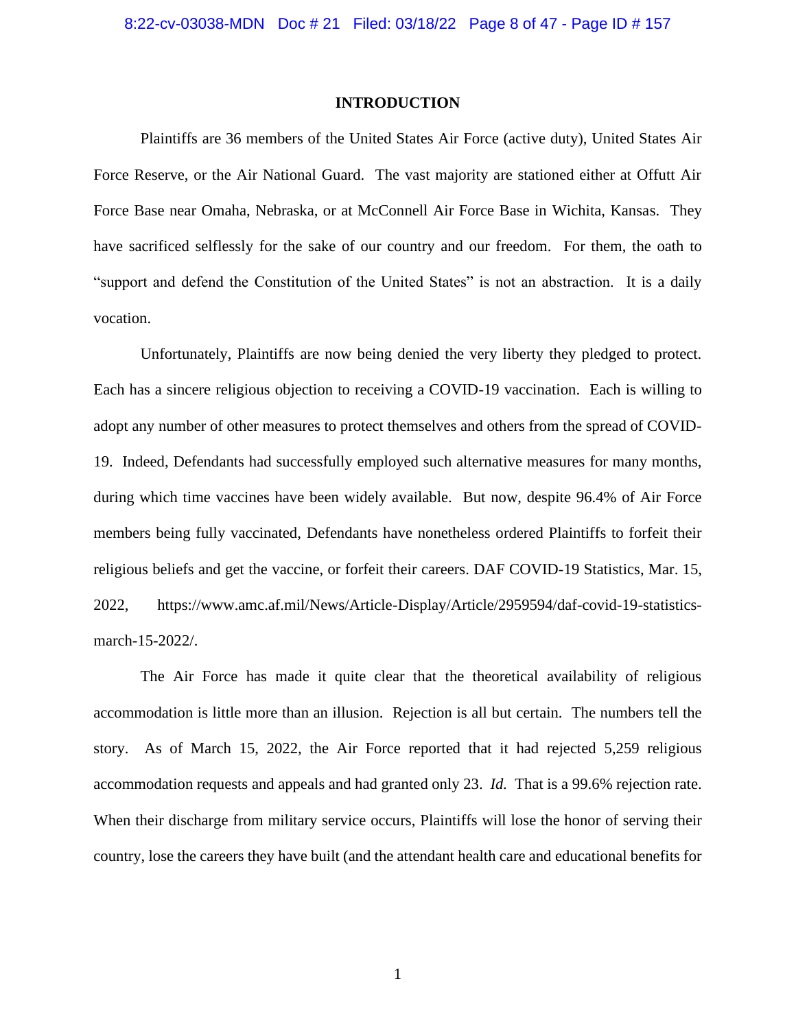#### **INTRODUCTION**

Plaintiffs are 36 members of the United States Air Force (active duty), United States Air Force Reserve, or the Air National Guard. The vast majority are stationed either at Offutt Air Force Base near Omaha, Nebraska, or at McConnell Air Force Base in Wichita, Kansas. They have sacrificed selflessly for the sake of our country and our freedom. For them, the oath to "support and defend the Constitution of the United States" is not an abstraction. It is a daily vocation.

Unfortunately, Plaintiffs are now being denied the very liberty they pledged to protect. Each has a sincere religious objection to receiving a COVID-19 vaccination. Each is willing to adopt any number of other measures to protect themselves and others from the spread of COVID-19. Indeed, Defendants had successfully employed such alternative measures for many months, during which time vaccines have been widely available. But now, despite 96.4% of Air Force members being fully vaccinated, Defendants have nonetheless ordered Plaintiffs to forfeit their religious beliefs and get the vaccine, or forfeit their careers. DAF COVID-19 Statistics, Mar. 15, 2022, https://www.amc.af.mil/News/Article-Display/Article/2959594/daf-covid-19-statisticsmarch-15-2022/.

The Air Force has made it quite clear that the theoretical availability of religious accommodation is little more than an illusion. Rejection is all but certain. The numbers tell the story. As of March 15, 2022, the Air Force reported that it had rejected 5,259 religious accommodation requests and appeals and had granted only 23. *Id.* That is a 99.6% rejection rate. When their discharge from military service occurs, Plaintiffs will lose the honor of serving their country, lose the careers they have built (and the attendant health care and educational benefits for

1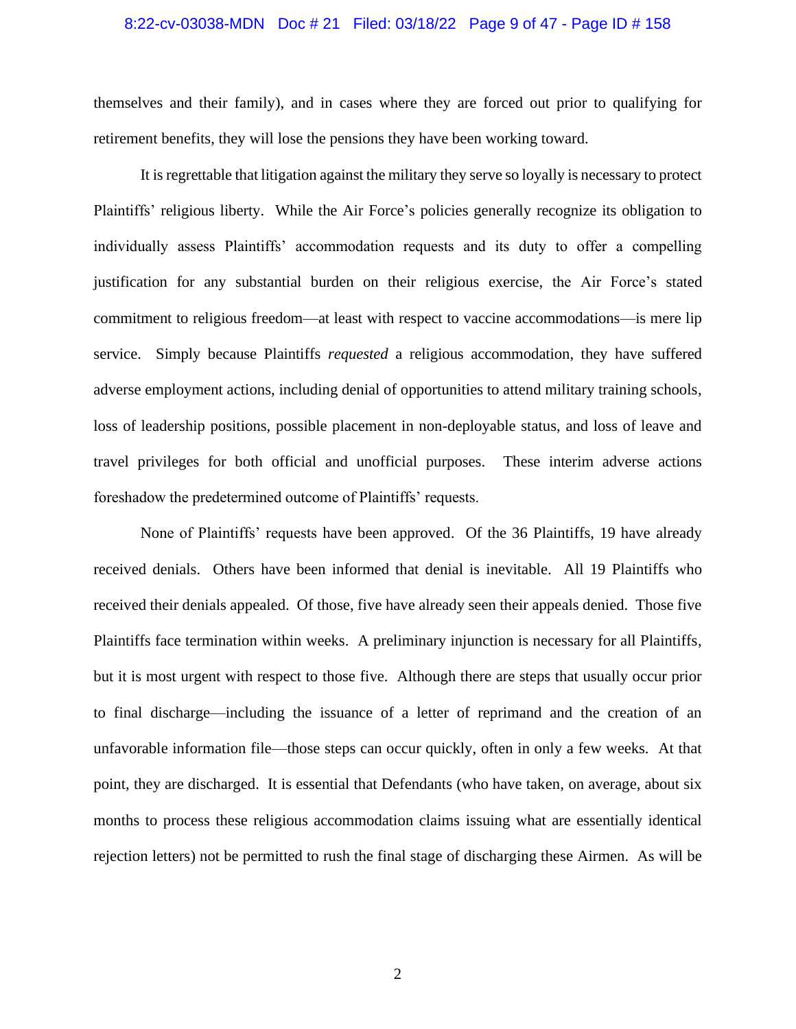#### 8:22-cv-03038-MDN Doc # 21 Filed: 03/18/22 Page 9 of 47 - Page ID # 158

themselves and their family), and in cases where they are forced out prior to qualifying for retirement benefits, they will lose the pensions they have been working toward.

It is regrettable that litigation against the military they serve so loyally is necessary to protect Plaintiffs' religious liberty. While the Air Force's policies generally recognize its obligation to individually assess Plaintiffs' accommodation requests and its duty to offer a compelling justification for any substantial burden on their religious exercise, the Air Force's stated commitment to religious freedom—at least with respect to vaccine accommodations—is mere lip service. Simply because Plaintiffs *requested* a religious accommodation, they have suffered adverse employment actions, including denial of opportunities to attend military training schools, loss of leadership positions, possible placement in non-deployable status, and loss of leave and travel privileges for both official and unofficial purposes. These interim adverse actions foreshadow the predetermined outcome of Plaintiffs' requests.

None of Plaintiffs' requests have been approved. Of the 36 Plaintiffs, 19 have already received denials. Others have been informed that denial is inevitable. All 19 Plaintiffs who received their denials appealed. Of those, five have already seen their appeals denied. Those five Plaintiffs face termination within weeks. A preliminary injunction is necessary for all Plaintiffs, but it is most urgent with respect to those five. Although there are steps that usually occur prior to final discharge—including the issuance of a letter of reprimand and the creation of an unfavorable information file—those steps can occur quickly, often in only a few weeks. At that point, they are discharged. It is essential that Defendants (who have taken, on average, about six months to process these religious accommodation claims issuing what are essentially identical rejection letters) not be permitted to rush the final stage of discharging these Airmen. As will be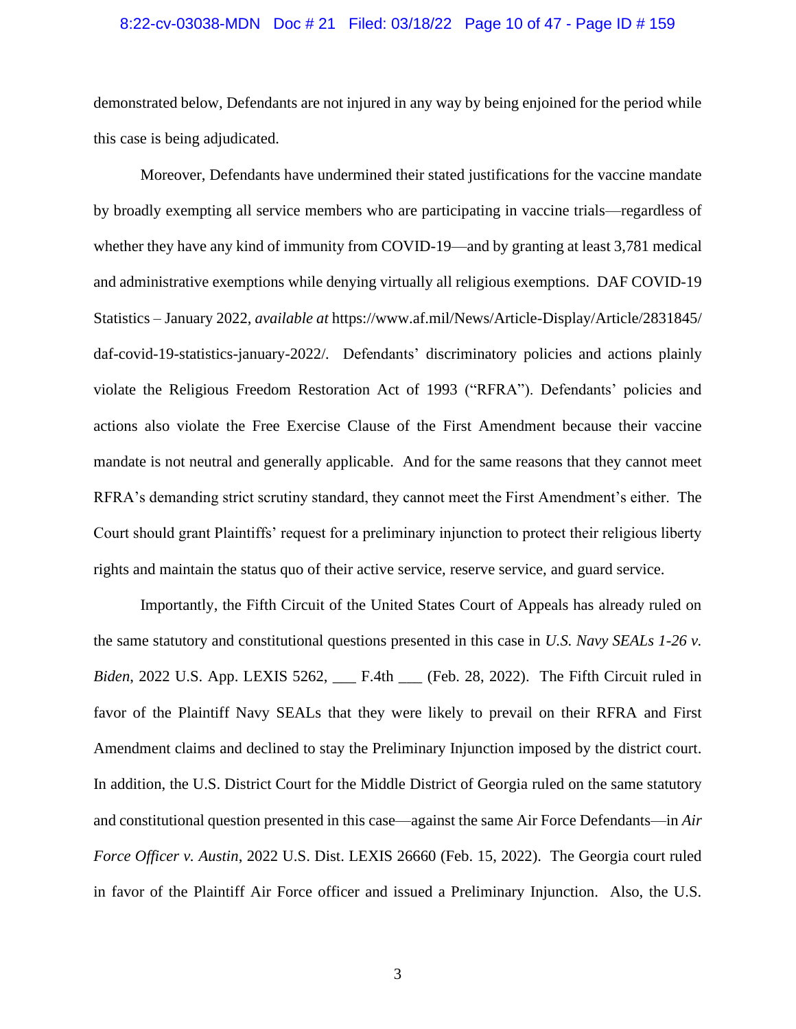#### 8:22-cv-03038-MDN Doc # 21 Filed: 03/18/22 Page 10 of 47 - Page ID # 159

demonstrated below, Defendants are not injured in any way by being enjoined for the period while this case is being adjudicated.

Moreover, Defendants have undermined their stated justifications for the vaccine mandate by broadly exempting all service members who are participating in vaccine trials—regardless of whether they have any kind of immunity from COVID-19—and by granting at least 3,781 medical and administrative exemptions while denying virtually all religious exemptions. DAF COVID-19 Statistics – January 2022, *available at* https://www.af.mil/News/Article-Display/Article/2831845/ daf-covid-19-statistics-january-2022/*.* Defendants' discriminatory policies and actions plainly violate the Religious Freedom Restoration Act of 1993 ("RFRA"). Defendants' policies and actions also violate the Free Exercise Clause of the First Amendment because their vaccine mandate is not neutral and generally applicable. And for the same reasons that they cannot meet RFRA's demanding strict scrutiny standard, they cannot meet the First Amendment's either. The Court should grant Plaintiffs' request for a preliminary injunction to protect their religious liberty rights and maintain the status quo of their active service, reserve service, and guard service.

Importantly, the Fifth Circuit of the United States Court of Appeals has already ruled on the same statutory and constitutional questions presented in this case in *U.S. Navy SEALs 1-26 v. Biden*, 2022 U.S. App. LEXIS 5262, \_\_\_ F.4th \_\_\_ (Feb. 28, 2022). The Fifth Circuit ruled in favor of the Plaintiff Navy SEALs that they were likely to prevail on their RFRA and First Amendment claims and declined to stay the Preliminary Injunction imposed by the district court. In addition, the U.S. District Court for the Middle District of Georgia ruled on the same statutory and constitutional question presented in this case—against the same Air Force Defendants—in *Air Force Officer v. Austin*, 2022 U.S. Dist. LEXIS 26660 (Feb. 15, 2022). The Georgia court ruled in favor of the Plaintiff Air Force officer and issued a Preliminary Injunction. Also, the U.S.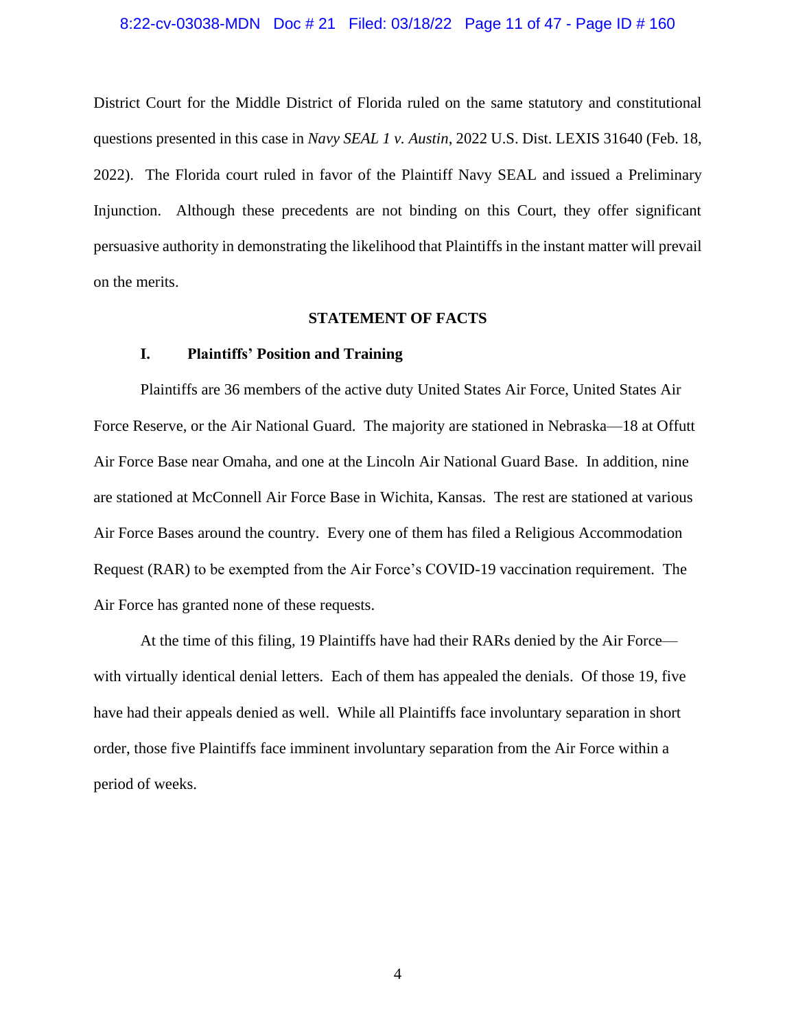#### 8:22-cv-03038-MDN Doc # 21 Filed: 03/18/22 Page 11 of 47 - Page ID # 160

District Court for the Middle District of Florida ruled on the same statutory and constitutional questions presented in this case in *Navy SEAL 1 v. Austin*, 2022 U.S. Dist. LEXIS 31640 (Feb. 18, 2022). The Florida court ruled in favor of the Plaintiff Navy SEAL and issued a Preliminary Injunction. Although these precedents are not binding on this Court, they offer significant persuasive authority in demonstrating the likelihood that Plaintiffs in the instant matter will prevail on the merits.

#### **STATEMENT OF FACTS**

#### **I. Plaintiffs' Position and Training**

Plaintiffs are 36 members of the active duty United States Air Force, United States Air Force Reserve, or the Air National Guard. The majority are stationed in Nebraska—18 at Offutt Air Force Base near Omaha, and one at the Lincoln Air National Guard Base. In addition, nine are stationed at McConnell Air Force Base in Wichita, Kansas. The rest are stationed at various Air Force Bases around the country. Every one of them has filed a Religious Accommodation Request (RAR) to be exempted from the Air Force's COVID-19 vaccination requirement. The Air Force has granted none of these requests.

At the time of this filing, 19 Plaintiffs have had their RARs denied by the Air Force with virtually identical denial letters. Each of them has appealed the denials. Of those 19, five have had their appeals denied as well. While all Plaintiffs face involuntary separation in short order, those five Plaintiffs face imminent involuntary separation from the Air Force within a period of weeks.

4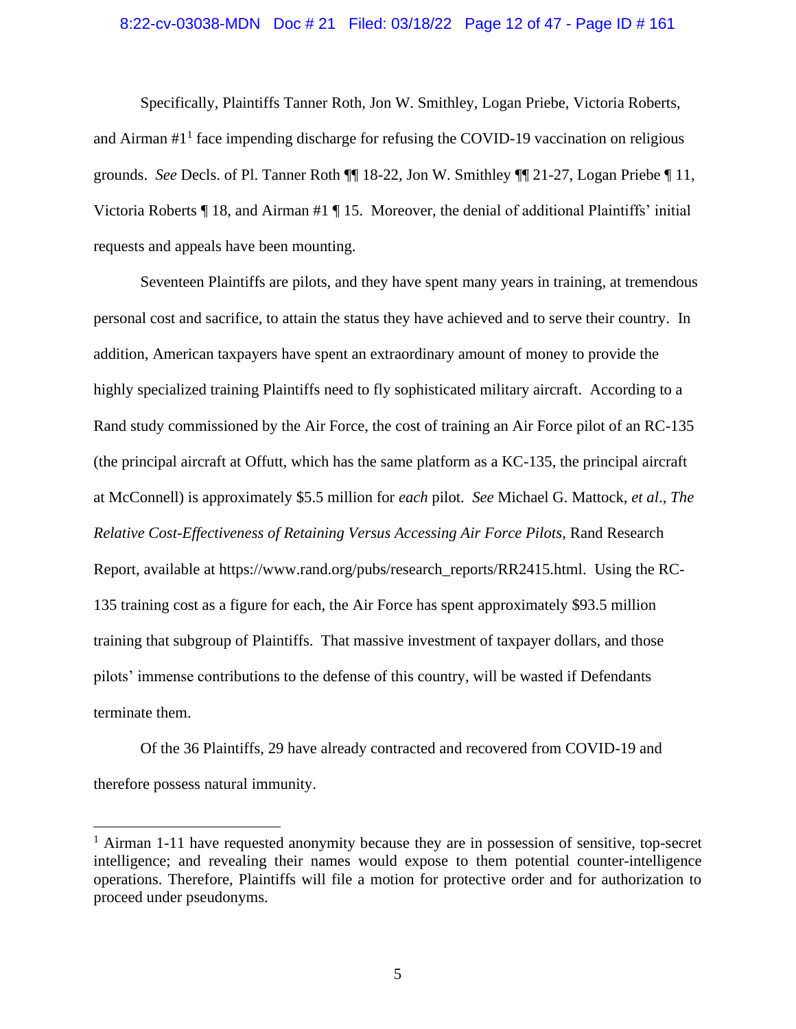#### 8:22-cv-03038-MDN Doc # 21 Filed: 03/18/22 Page 12 of 47 - Page ID # 161

Specifically, Plaintiffs Tanner Roth, Jon W. Smithley, Logan Priebe, Victoria Roberts, and Airman #1<sup>1</sup> face impending discharge for refusing the COVID-19 vaccination on religious grounds. *See* Decls. of Pl. Tanner Roth ¶¶ 18-22, Jon W. Smithley ¶¶ 21-27, Logan Priebe ¶ 11, Victoria Roberts ¶ 18, and Airman #1 ¶ 15. Moreover, the denial of additional Plaintiffs' initial requests and appeals have been mounting.

Seventeen Plaintiffs are pilots, and they have spent many years in training, at tremendous personal cost and sacrifice, to attain the status they have achieved and to serve their country. In addition, American taxpayers have spent an extraordinary amount of money to provide the highly specialized training Plaintiffs need to fly sophisticated military aircraft. According to a Rand study commissioned by the Air Force, the cost of training an Air Force pilot of an RC-135 (the principal aircraft at Offutt, which has the same platform as a KC-135, the principal aircraft at McConnell) is approximately \$5.5 million for *each* pilot. *See* Michael G. Mattock, *et al*., *The Relative Cost-Effectiveness of Retaining Versus Accessing Air Force Pilots*, Rand Research Report, available at https://www.rand.org/pubs/research\_reports/RR2415.html. Using the RC-135 training cost as a figure for each, the Air Force has spent approximately \$93.5 million training that subgroup of Plaintiffs. That massive investment of taxpayer dollars, and those pilots' immense contributions to the defense of this country, will be wasted if Defendants terminate them.

Of the 36 Plaintiffs, 29 have already contracted and recovered from COVID-19 and therefore possess natural immunity.

<sup>&</sup>lt;sup>1</sup> Airman 1-11 have requested anonymity because they are in possession of sensitive, top-secret intelligence; and revealing their names would expose to them potential counter-intelligence operations. Therefore, Plaintiffs will file a motion for protective order and for authorization to proceed under pseudonyms.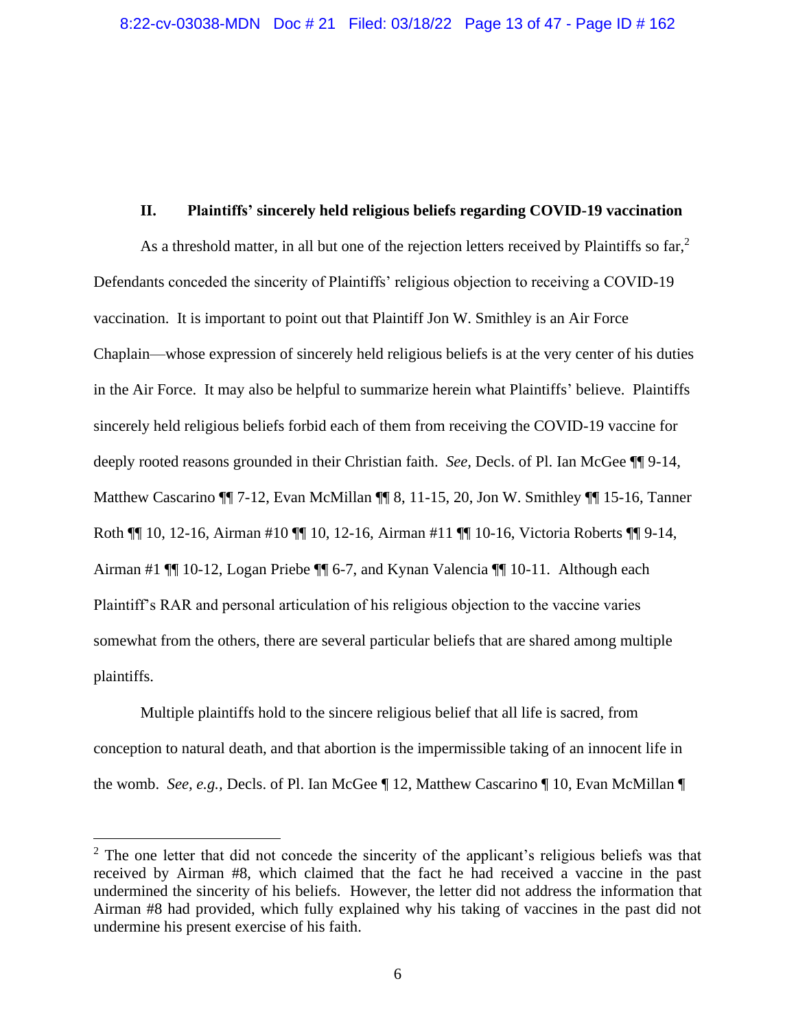#### **II. Plaintiffs' sincerely held religious beliefs regarding COVID-19 vaccination**

As a threshold matter, in all but one of the rejection letters received by Plaintiffs so  $far$ ,  $2$ Defendants conceded the sincerity of Plaintiffs' religious objection to receiving a COVID-19 vaccination. It is important to point out that Plaintiff Jon W. Smithley is an Air Force Chaplain—whose expression of sincerely held religious beliefs is at the very center of his duties in the Air Force. It may also be helpful to summarize herein what Plaintiffs' believe. Plaintiffs sincerely held religious beliefs forbid each of them from receiving the COVID-19 vaccine for deeply rooted reasons grounded in their Christian faith. *See,* Decls. of Pl. Ian McGee ¶¶ 9-14, Matthew Cascarino ¶¶ 7-12, Evan McMillan ¶¶ 8, 11-15, 20, Jon W. Smithley ¶¶ 15-16, Tanner Roth ¶¶ 10, 12-16, Airman #10 ¶¶ 10, 12-16, Airman #11 ¶¶ 10-16, Victoria Roberts ¶¶ 9-14, Airman #1 ¶¶ 10-12, Logan Priebe ¶¶ 6-7, and Kynan Valencia ¶¶ 10-11. Although each Plaintiff's RAR and personal articulation of his religious objection to the vaccine varies somewhat from the others, there are several particular beliefs that are shared among multiple plaintiffs.

Multiple plaintiffs hold to the sincere religious belief that all life is sacred, from conception to natural death, and that abortion is the impermissible taking of an innocent life in the womb. *See, e.g.,* Decls. of Pl. Ian McGee ¶ 12, Matthew Cascarino ¶ 10, Evan McMillan ¶

 $2^{\circ}$  The one letter that did not concede the sincerity of the applicant's religious beliefs was that received by Airman #8, which claimed that the fact he had received a vaccine in the past undermined the sincerity of his beliefs. However, the letter did not address the information that Airman #8 had provided, which fully explained why his taking of vaccines in the past did not undermine his present exercise of his faith.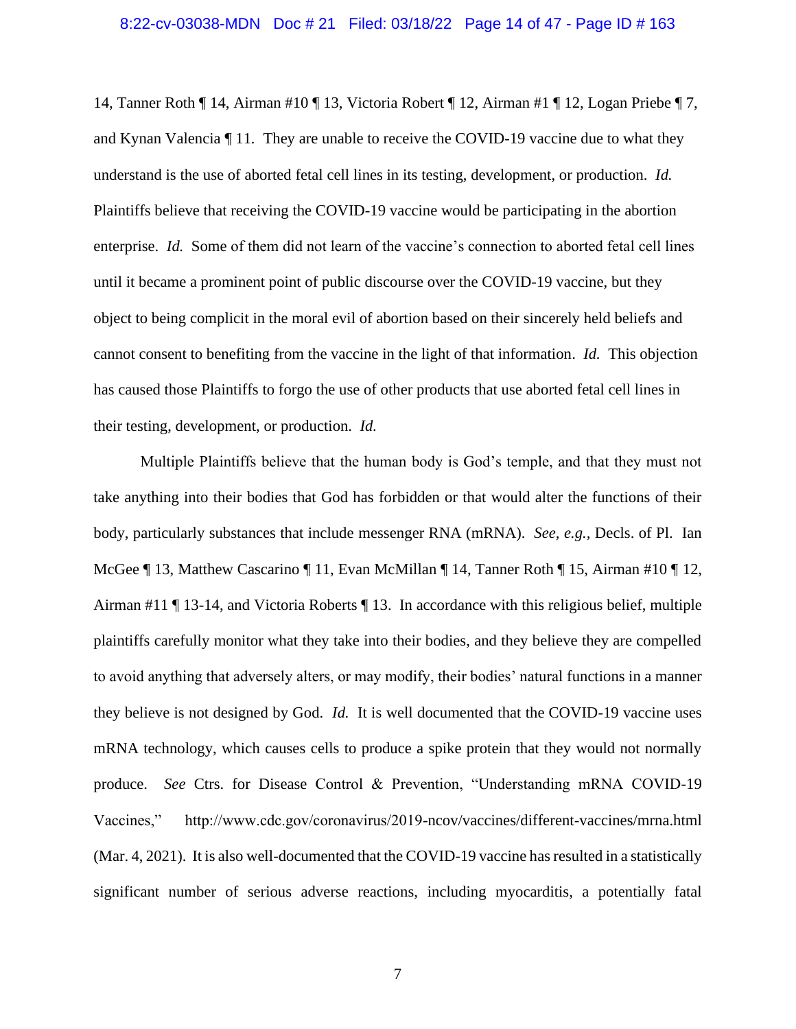14, Tanner Roth ¶ 14, Airman #10 ¶ 13, Victoria Robert ¶ 12, Airman #1 ¶ 12, Logan Priebe ¶ 7, and Kynan Valencia ¶ 11*.* They are unable to receive the COVID-19 vaccine due to what they understand is the use of aborted fetal cell lines in its testing, development, or production. *Id.*  Plaintiffs believe that receiving the COVID-19 vaccine would be participating in the abortion enterprise. *Id.* Some of them did not learn of the vaccine's connection to aborted fetal cell lines until it became a prominent point of public discourse over the COVID-19 vaccine, but they object to being complicit in the moral evil of abortion based on their sincerely held beliefs and cannot consent to benefiting from the vaccine in the light of that information. *Id.* This objection has caused those Plaintiffs to forgo the use of other products that use aborted fetal cell lines in their testing, development, or production. *Id.*

Multiple Plaintiffs believe that the human body is God's temple, and that they must not take anything into their bodies that God has forbidden or that would alter the functions of their body, particularly substances that include messenger RNA (mRNA). *See, e.g.,* Decls. of Pl. Ian McGee ¶ 13, Matthew Cascarino ¶ 11, Evan McMillan ¶ 14, Tanner Roth ¶ 15, Airman #10 ¶ 12, Airman #11 ¶ 13-14, and Victoria Roberts ¶ 13. In accordance with this religious belief, multiple plaintiffs carefully monitor what they take into their bodies, and they believe they are compelled to avoid anything that adversely alters, or may modify, their bodies' natural functions in a manner they believe is not designed by God. *Id.* It is well documented that the COVID-19 vaccine uses mRNA technology, which causes cells to produce a spike protein that they would not normally produce. *See* Ctrs. for Disease Control & Prevention, "Understanding mRNA COVID-19 Vaccines," http://www.cdc.gov/coronavirus/2019-ncov/vaccines/different-vaccines/mrna.html (Mar. 4, 2021). It is also well-documented that the COVID-19 vaccine has resulted in a statistically significant number of serious adverse reactions, including myocarditis, a potentially fatal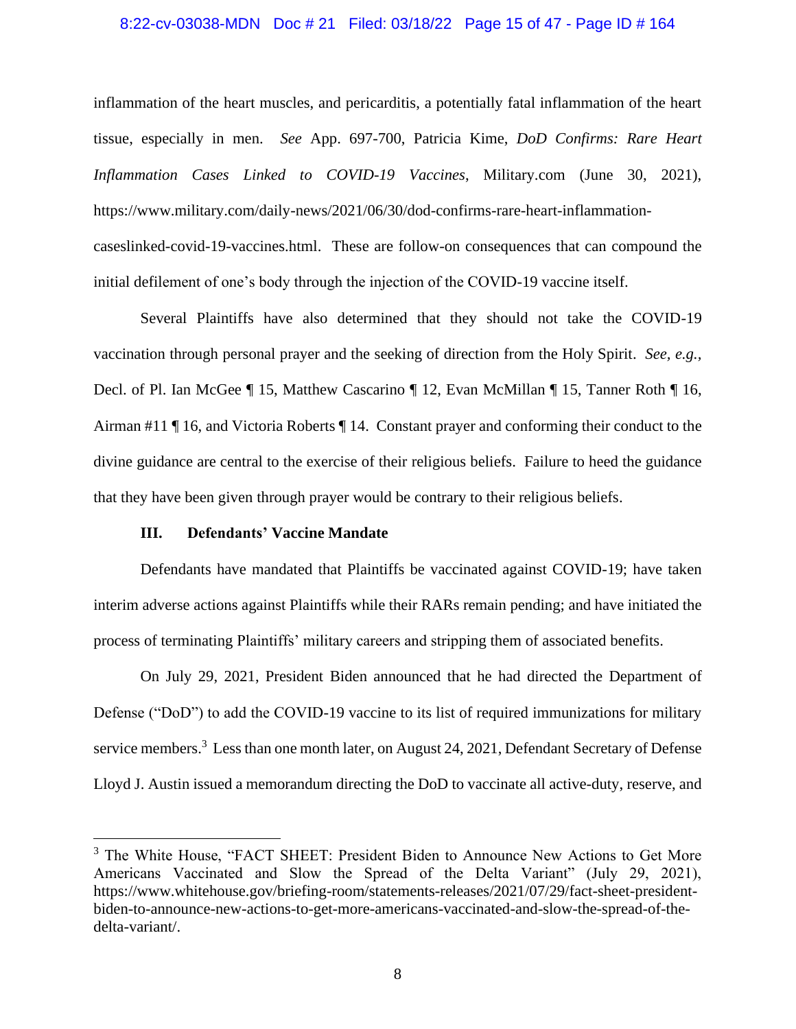#### 8:22-cv-03038-MDN Doc # 21 Filed: 03/18/22 Page 15 of 47 - Page ID # 164

inflammation of the heart muscles, and pericarditis, a potentially fatal inflammation of the heart tissue, especially in men. *See* App. 697-700, Patricia Kime, *DoD Confirms: Rare Heart Inflammation Cases Linked to COVID-19 Vaccines*, Military.com (June 30, 2021), https://www.military.com/daily-news/2021/06/30/dod-confirms-rare-heart-inflammationcaseslinked-covid-19-vaccines.html. These are follow-on consequences that can compound the initial defilement of one's body through the injection of the COVID-19 vaccine itself.

Several Plaintiffs have also determined that they should not take the COVID-19 vaccination through personal prayer and the seeking of direction from the Holy Spirit. *See, e.g.,* Decl. of Pl. Ian McGee ¶ 15, Matthew Cascarino ¶ 12, Evan McMillan ¶ 15, Tanner Roth ¶ 16, Airman #11 ¶ 16, and Victoria Roberts ¶ 14. Constant prayer and conforming their conduct to the divine guidance are central to the exercise of their religious beliefs. Failure to heed the guidance that they have been given through prayer would be contrary to their religious beliefs.

#### **III. Defendants' Vaccine Mandate**

Defendants have mandated that Plaintiffs be vaccinated against COVID-19; have taken interim adverse actions against Plaintiffs while their RARs remain pending; and have initiated the process of terminating Plaintiffs' military careers and stripping them of associated benefits.

On July 29, 2021, President Biden announced that he had directed the Department of Defense ("DoD") to add the COVID-19 vaccine to its list of required immunizations for military service members.<sup>3</sup> Less than one month later, on August 24, 2021, Defendant Secretary of Defense Lloyd J. Austin issued a memorandum directing the DoD to vaccinate all active-duty, reserve, and

<sup>&</sup>lt;sup>3</sup> The White House, "FACT SHEET: President Biden to Announce New Actions to Get More Americans Vaccinated and Slow the Spread of the Delta Variant" (July 29, 2021), https://www.whitehouse.gov/briefing-room/statements-releases/2021/07/29/fact-sheet-presidentbiden-to-announce-new-actions-to-get-more-americans-vaccinated-and-slow-the-spread-of-thedelta-variant/.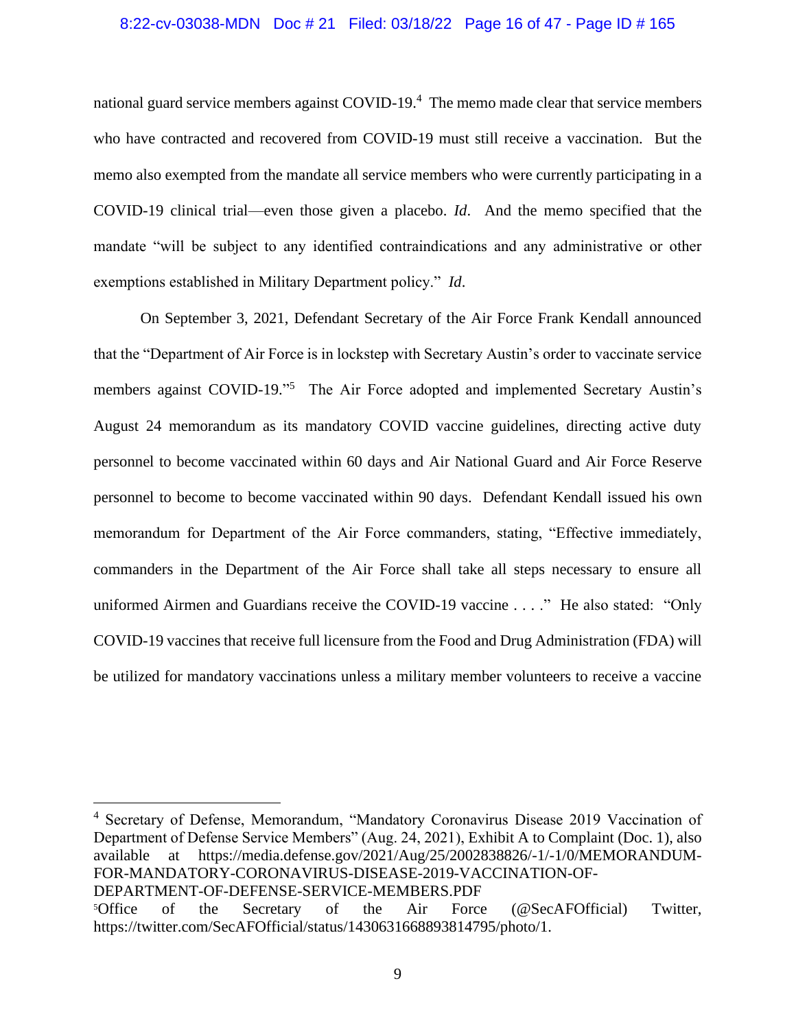#### 8:22-cv-03038-MDN Doc # 21 Filed: 03/18/22 Page 16 of 47 - Page ID # 165

national guard service members against COVID-19.<sup>4</sup> The memo made clear that service members who have contracted and recovered from COVID-19 must still receive a vaccination. But the memo also exempted from the mandate all service members who were currently participating in a COVID-19 clinical trial—even those given a placebo. *Id*. And the memo specified that the mandate "will be subject to any identified contraindications and any administrative or other exemptions established in Military Department policy." *Id*.

On September 3, 2021, Defendant Secretary of the Air Force Frank Kendall announced that the "Department of Air Force is in lockstep with Secretary Austin's order to vaccinate service members against COVID-19."<sup>5</sup> The Air Force adopted and implemented Secretary Austin's August 24 memorandum as its mandatory COVID vaccine guidelines, directing active duty personnel to become vaccinated within 60 days and Air National Guard and Air Force Reserve personnel to become to become vaccinated within 90 days. Defendant Kendall issued his own memorandum for Department of the Air Force commanders, stating, "Effective immediately, commanders in the Department of the Air Force shall take all steps necessary to ensure all uniformed Airmen and Guardians receive the COVID-19 vaccine . . . ." He also stated: "Only COVID-19 vaccines that receive full licensure from the Food and Drug Administration (FDA) will be utilized for mandatory vaccinations unless a military member volunteers to receive a vaccine

<sup>4</sup> Secretary of Defense, Memorandum, "Mandatory Coronavirus Disease 2019 Vaccination of Department of Defense Service Members" (Aug. 24, 2021), Exhibit A to Complaint (Doc. 1), also available at https://media.defense.gov/2021/Aug/25/2002838826/-1/-1/0/MEMORANDUM-FOR-MANDATORY-CORONAVIRUS-DISEASE-2019-VACCINATION-OF-DEPARTMENT-OF-DEFENSE-SERVICE-MEMBERS.PDF <sup>5</sup>Office of the Secretary of the Air Force (@SecAFOfficial) Twitter,

https://twitter.com/SecAFOfficial/status/1430631668893814795/photo/1.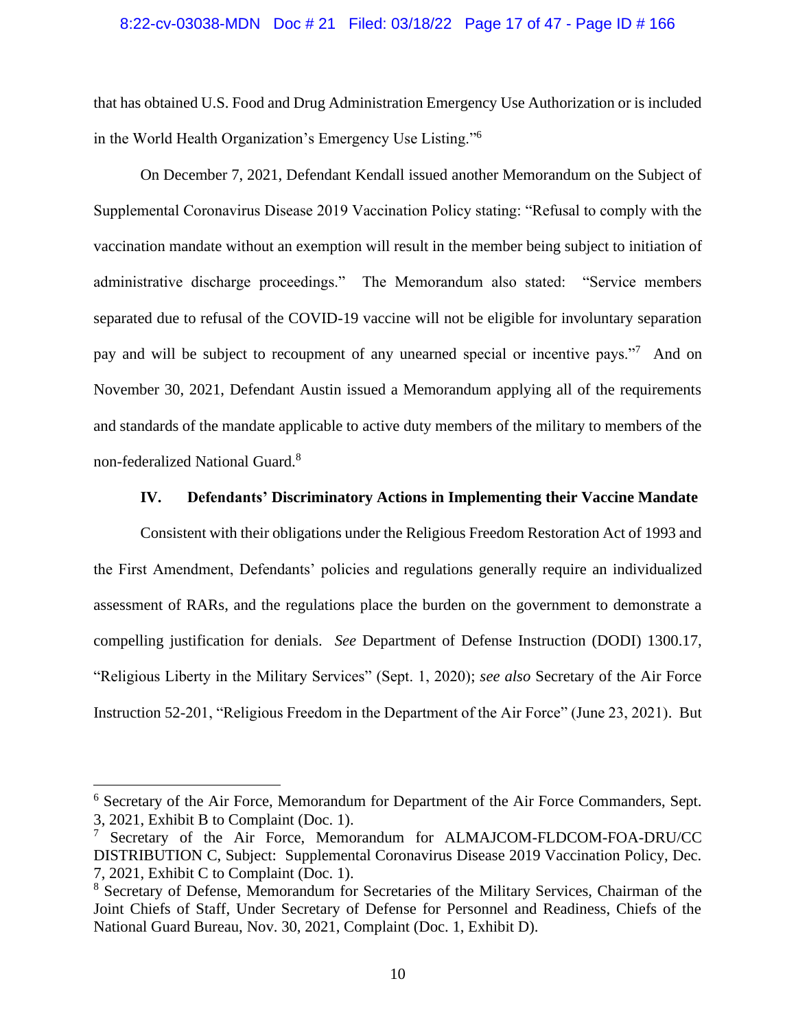#### 8:22-cv-03038-MDN Doc # 21 Filed: 03/18/22 Page 17 of 47 - Page ID # 166

that has obtained U.S. Food and Drug Administration Emergency Use Authorization or is included in the World Health Organization's Emergency Use Listing."<sup>6</sup>

On December 7, 2021, Defendant Kendall issued another Memorandum on the Subject of Supplemental Coronavirus Disease 2019 Vaccination Policy stating: "Refusal to comply with the vaccination mandate without an exemption will result in the member being subject to initiation of administrative discharge proceedings." The Memorandum also stated: "Service members separated due to refusal of the COVID-19 vaccine will not be eligible for involuntary separation pay and will be subject to recoupment of any unearned special or incentive pays."<sup>7</sup> And on November 30, 2021, Defendant Austin issued a Memorandum applying all of the requirements and standards of the mandate applicable to active duty members of the military to members of the non-federalized National Guard.<sup>8</sup>

#### **IV. Defendants' Discriminatory Actions in Implementing their Vaccine Mandate**

Consistent with their obligations under the Religious Freedom Restoration Act of 1993 and the First Amendment, Defendants' policies and regulations generally require an individualized assessment of RARs, and the regulations place the burden on the government to demonstrate a compelling justification for denials. *See* Department of Defense Instruction (DODI) 1300.17, "Religious Liberty in the Military Services" (Sept. 1, 2020); *see also* Secretary of the Air Force Instruction 52-201, "Religious Freedom in the Department of the Air Force" (June 23, 2021). But

<sup>6</sup> Secretary of the Air Force, Memorandum for Department of the Air Force Commanders, Sept. 3, 2021, Exhibit B to Complaint (Doc. 1).

<sup>&</sup>lt;sup>7</sup> Secretary of the Air Force, Memorandum for ALMAJCOM-FLDCOM-FOA-DRU/CC DISTRIBUTION C, Subject: Supplemental Coronavirus Disease 2019 Vaccination Policy, Dec. 7, 2021, Exhibit C to Complaint (Doc. 1).

<sup>8</sup> Secretary of Defense, Memorandum for Secretaries of the Military Services, Chairman of the Joint Chiefs of Staff, Under Secretary of Defense for Personnel and Readiness, Chiefs of the National Guard Bureau, Nov. 30, 2021, Complaint (Doc. 1, Exhibit D).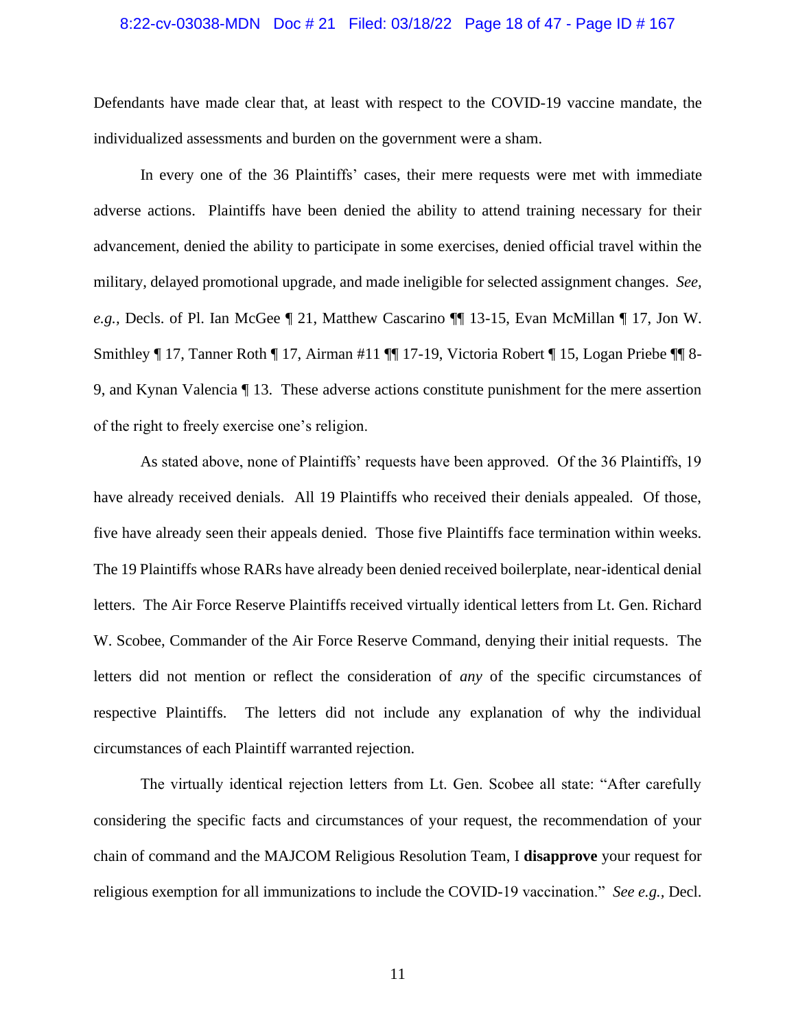#### 8:22-cv-03038-MDN Doc # 21 Filed: 03/18/22 Page 18 of 47 - Page ID # 167

Defendants have made clear that, at least with respect to the COVID-19 vaccine mandate, the individualized assessments and burden on the government were a sham.

In every one of the 36 Plaintiffs' cases, their mere requests were met with immediate adverse actions. Plaintiffs have been denied the ability to attend training necessary for their advancement, denied the ability to participate in some exercises, denied official travel within the military, delayed promotional upgrade, and made ineligible for selected assignment changes. *See, e.g.,* Decls. of Pl. Ian McGee ¶ 21, Matthew Cascarino ¶¶ 13-15, Evan McMillan ¶ 17, Jon W. Smithley ¶ 17, Tanner Roth ¶ 17, Airman #11 ¶¶ 17-19, Victoria Robert ¶ 15, Logan Priebe ¶¶ 8- 9, and Kynan Valencia ¶ 13. These adverse actions constitute punishment for the mere assertion of the right to freely exercise one's religion.

As stated above, none of Plaintiffs' requests have been approved. Of the 36 Plaintiffs, 19 have already received denials. All 19 Plaintiffs who received their denials appealed. Of those, five have already seen their appeals denied. Those five Plaintiffs face termination within weeks. The 19 Plaintiffs whose RARs have already been denied received boilerplate, near-identical denial letters. The Air Force Reserve Plaintiffs received virtually identical letters from Lt. Gen. Richard W. Scobee, Commander of the Air Force Reserve Command, denying their initial requests. The letters did not mention or reflect the consideration of *any* of the specific circumstances of respective Plaintiffs. The letters did not include any explanation of why the individual circumstances of each Plaintiff warranted rejection.

The virtually identical rejection letters from Lt. Gen. Scobee all state: "After carefully considering the specific facts and circumstances of your request, the recommendation of your chain of command and the MAJCOM Religious Resolution Team, I **disapprove** your request for religious exemption for all immunizations to include the COVID-19 vaccination." *See e.g.,* Decl.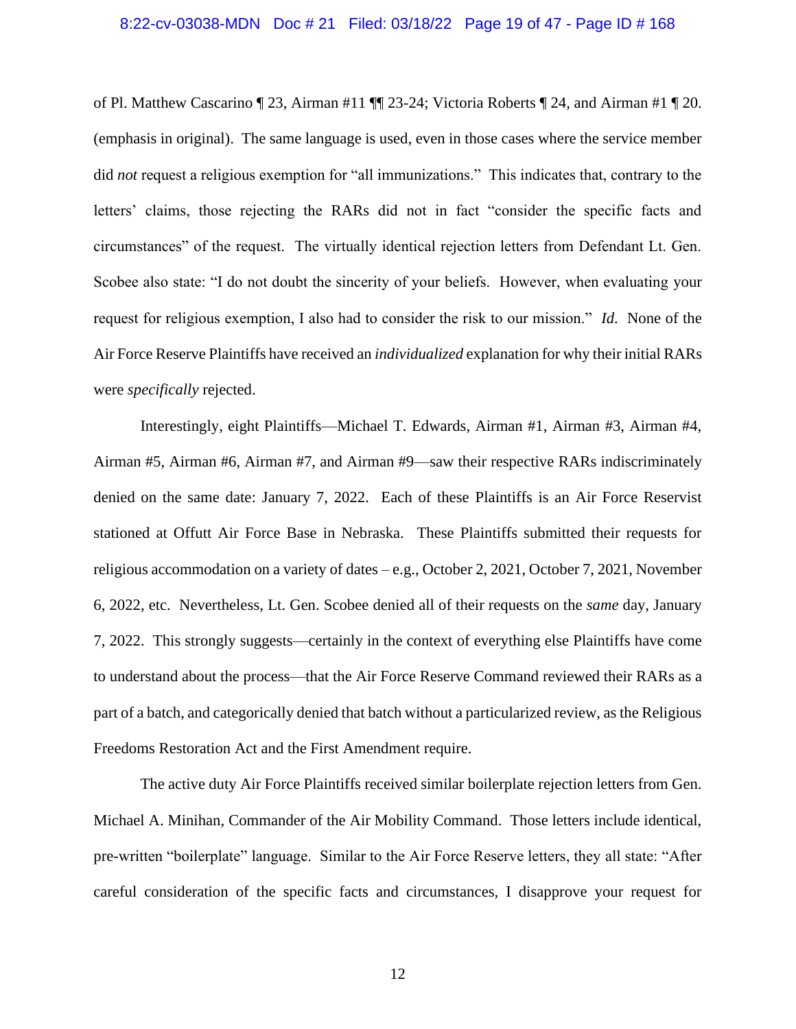#### 8:22-cv-03038-MDN Doc # 21 Filed: 03/18/22 Page 19 of 47 - Page ID # 168

of Pl. Matthew Cascarino ¶ 23, Airman #11 ¶¶ 23-24; Victoria Roberts ¶ 24, and Airman #1 ¶ 20. (emphasis in original). The same language is used, even in those cases where the service member did *not* request a religious exemption for "all immunizations." This indicates that, contrary to the letters' claims, those rejecting the RARs did not in fact "consider the specific facts and circumstances" of the request. The virtually identical rejection letters from Defendant Lt. Gen. Scobee also state: "I do not doubt the sincerity of your beliefs. However, when evaluating your request for religious exemption, I also had to consider the risk to our mission." *Id*. None of the Air Force Reserve Plaintiffs have received an *individualized* explanation for why their initial RARs were *specifically* rejected.

Interestingly, eight Plaintiffs—Michael T. Edwards, Airman #1, Airman #3, Airman #4, Airman #5, Airman #6, Airman #7, and Airman #9—saw their respective RARs indiscriminately denied on the same date: January 7, 2022. Each of these Plaintiffs is an Air Force Reservist stationed at Offutt Air Force Base in Nebraska. These Plaintiffs submitted their requests for religious accommodation on a variety of dates – e.g., October 2, 2021, October 7, 2021, November 6, 2022, etc. Nevertheless, Lt. Gen. Scobee denied all of their requests on the *same* day, January 7, 2022. This strongly suggests—certainly in the context of everything else Plaintiffs have come to understand about the process—that the Air Force Reserve Command reviewed their RARs as a part of a batch, and categorically denied that batch without a particularized review, as the Religious Freedoms Restoration Act and the First Amendment require.

The active duty Air Force Plaintiffs received similar boilerplate rejection letters from Gen. Michael A. Minihan, Commander of the Air Mobility Command. Those letters include identical, pre-written "boilerplate" language. Similar to the Air Force Reserve letters, they all state: "After careful consideration of the specific facts and circumstances, I disapprove your request for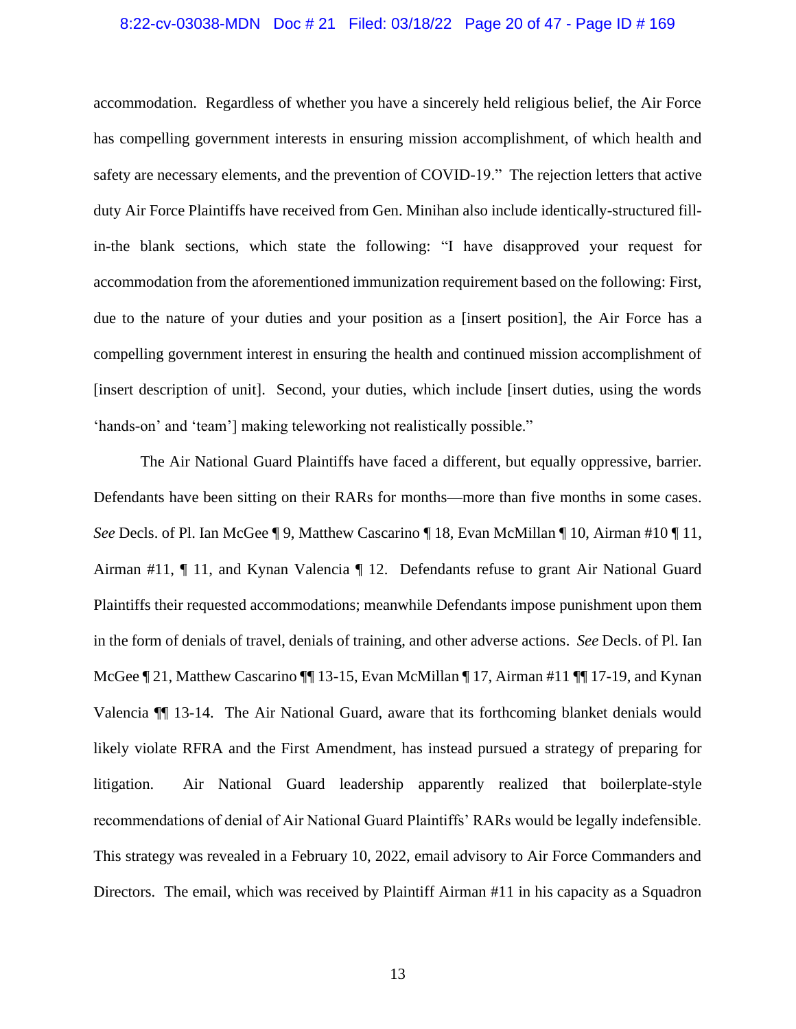#### 8:22-cv-03038-MDN Doc # 21 Filed: 03/18/22 Page 20 of 47 - Page ID # 169

accommodation. Regardless of whether you have a sincerely held religious belief, the Air Force has compelling government interests in ensuring mission accomplishment, of which health and safety are necessary elements, and the prevention of COVID-19." The rejection letters that active duty Air Force Plaintiffs have received from Gen. Minihan also include identically-structured fillin-the blank sections, which state the following: "I have disapproved your request for accommodation from the aforementioned immunization requirement based on the following: First, due to the nature of your duties and your position as a [insert position], the Air Force has a compelling government interest in ensuring the health and continued mission accomplishment of [insert description of unit]. Second, your duties, which include [insert duties, using the words 'hands-on' and 'team'] making teleworking not realistically possible."

The Air National Guard Plaintiffs have faced a different, but equally oppressive, barrier. Defendants have been sitting on their RARs for months—more than five months in some cases. *See* Decls. of Pl. Ian McGee ¶ 9, Matthew Cascarino ¶ 18, Evan McMillan ¶ 10, Airman #10 ¶ 11, Airman #11, ¶ 11, and Kynan Valencia ¶ 12. Defendants refuse to grant Air National Guard Plaintiffs their requested accommodations; meanwhile Defendants impose punishment upon them in the form of denials of travel, denials of training, and other adverse actions. *See* Decls. of Pl. Ian McGee  $\P$  21, Matthew Cascarino  $\P$  13-15, Evan McMillan  $\P$  17, Airman #11  $\P$  17-19, and Kynan Valencia ¶¶ 13-14. The Air National Guard, aware that its forthcoming blanket denials would likely violate RFRA and the First Amendment, has instead pursued a strategy of preparing for litigation. Air National Guard leadership apparently realized that boilerplate-style recommendations of denial of Air National Guard Plaintiffs' RARs would be legally indefensible. This strategy was revealed in a February 10, 2022, email advisory to Air Force Commanders and Directors. The email, which was received by Plaintiff Airman #11 in his capacity as a Squadron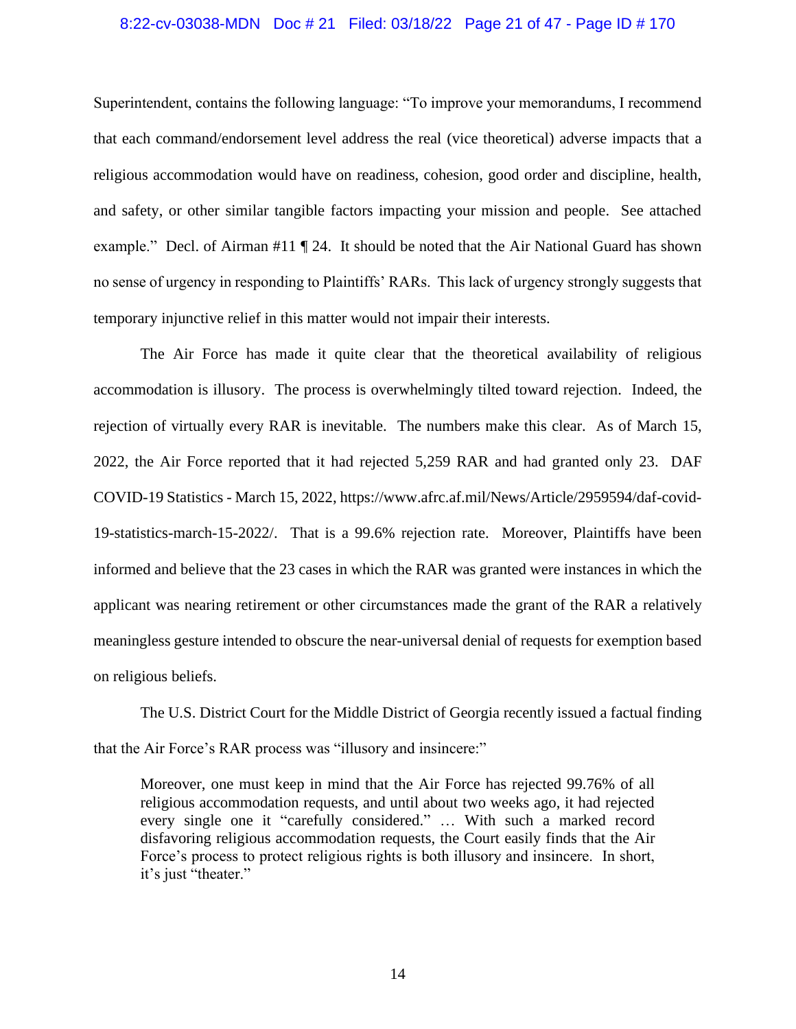#### 8:22-cv-03038-MDN Doc # 21 Filed: 03/18/22 Page 21 of 47 - Page ID # 170

Superintendent, contains the following language: "To improve your memorandums, I recommend that each command/endorsement level address the real (vice theoretical) adverse impacts that a religious accommodation would have on readiness, cohesion, good order and discipline, health, and safety, or other similar tangible factors impacting your mission and people. See attached example." Decl. of Airman #11 ¶ 24. It should be noted that the Air National Guard has shown no sense of urgency in responding to Plaintiffs' RARs. This lack of urgency strongly suggests that temporary injunctive relief in this matter would not impair their interests.

The Air Force has made it quite clear that the theoretical availability of religious accommodation is illusory. The process is overwhelmingly tilted toward rejection. Indeed, the rejection of virtually every RAR is inevitable. The numbers make this clear. As of March 15, 2022, the Air Force reported that it had rejected 5,259 RAR and had granted only 23. DAF COVID-19 Statistics - March 15, 2022, https://www.afrc.af.mil/News/Article/2959594/daf-covid-19-statistics-march-15-2022/. That is a 99.6% rejection rate. Moreover, Plaintiffs have been informed and believe that the 23 cases in which the RAR was granted were instances in which the applicant was nearing retirement or other circumstances made the grant of the RAR a relatively meaningless gesture intended to obscure the near-universal denial of requests for exemption based on religious beliefs.

The U.S. District Court for the Middle District of Georgia recently issued a factual finding that the Air Force's RAR process was "illusory and insincere:"

Moreover, one must keep in mind that the Air Force has rejected 99.76% of all religious accommodation requests, and until about two weeks ago, it had rejected every single one it "carefully considered." … With such a marked record disfavoring religious accommodation requests, the Court easily finds that the Air Force's process to protect religious rights is both illusory and insincere. In short, it's just "theater."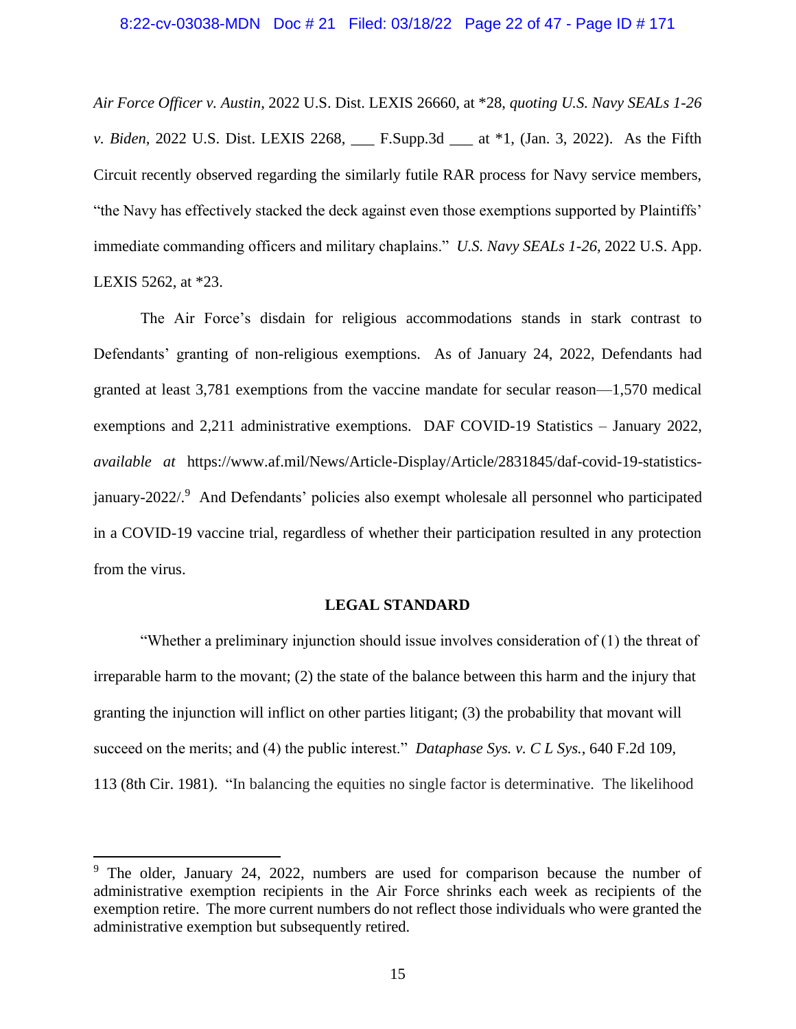#### 8:22-cv-03038-MDN Doc # 21 Filed: 03/18/22 Page 22 of 47 - Page ID # 171

*Air Force Officer v. Austin*, 2022 U.S. Dist. LEXIS 26660, at \*28, *quoting U.S. Navy SEALs 1-26 v. Biden,* 2022 U.S. Dist. LEXIS 2268, \_\_\_ F.Supp.3d \_\_\_ at \*1, (Jan. 3, 2022). As the Fifth Circuit recently observed regarding the similarly futile RAR process for Navy service members, "the Navy has effectively stacked the deck against even those exemptions supported by Plaintiffs' immediate commanding officers and military chaplains." *U.S. Navy SEALs 1-26*, 2022 U.S. App. LEXIS 5262, at \*23.

The Air Force's disdain for religious accommodations stands in stark contrast to Defendants' granting of non-religious exemptions. As of January 24, 2022, Defendants had granted at least 3,781 exemptions from the vaccine mandate for secular reason—1,570 medical exemptions and 2,211 administrative exemptions. DAF COVID-19 Statistics – January 2022, *available at* https://www.af.mil/News/Article-Display/Article/2831845/daf-covid-19-statisticsjanuary-2022/.<sup>9</sup> And Defendants' policies also exempt wholesale all personnel who participated in a COVID-19 vaccine trial, regardless of whether their participation resulted in any protection from the virus.

#### **LEGAL STANDARD**

"Whether a preliminary injunction should issue involves consideration of (1) the threat of irreparable harm to the movant; (2) the state of the balance between this harm and the injury that granting the injunction will inflict on other parties litigant; (3) the probability that movant will succeed on the merits; and (4) the public interest." *Dataphase Sys. v. C L Sys.*, 640 F.2d 109, 113 (8th Cir. 1981). "In balancing the equities no single factor is determinative. The likelihood

<sup>&</sup>lt;sup>9</sup> The older, January 24, 2022, numbers are used for comparison because the number of administrative exemption recipients in the Air Force shrinks each week as recipients of the exemption retire. The more current numbers do not reflect those individuals who were granted the administrative exemption but subsequently retired.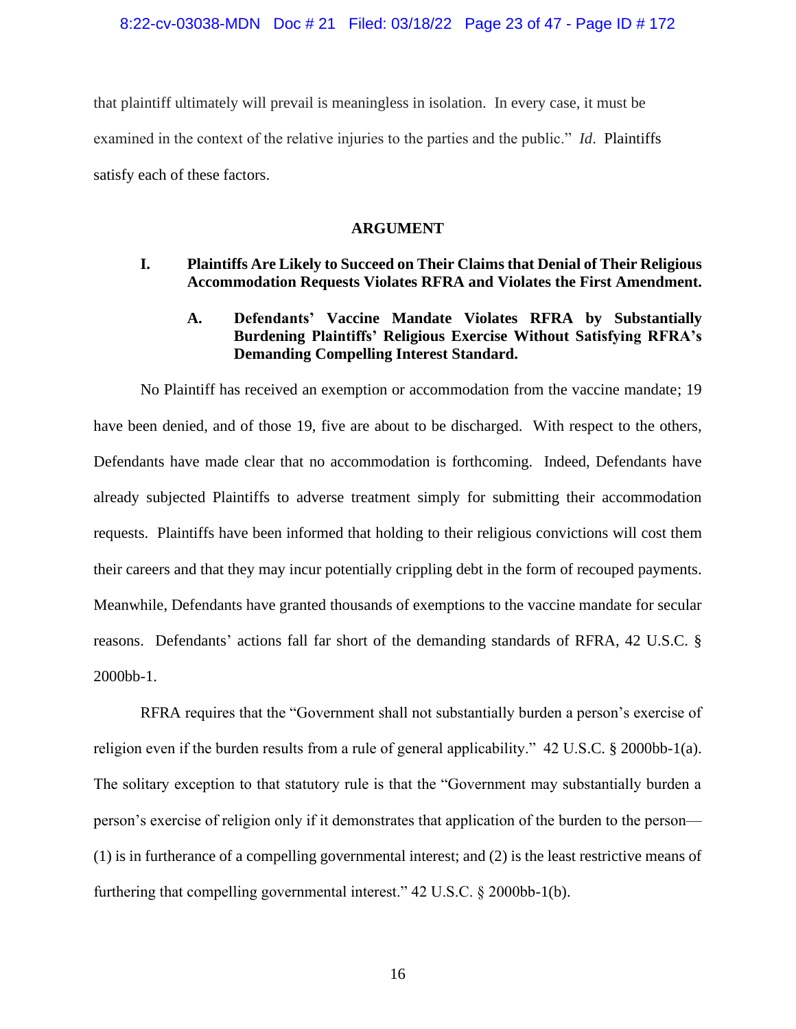that plaintiff ultimately will prevail is meaningless in isolation. In every case, it must be examined in the context of the relative injuries to the parties and the public." *Id*. Plaintiffs satisfy each of these factors.

#### **ARGUMENT**

# **I. Plaintiffs Are Likely to Succeed on Their Claims that Denial of Their Religious Accommodation Requests Violates RFRA and Violates the First Amendment.**

# **A. Defendants' Vaccine Mandate Violates RFRA by Substantially Burdening Plaintiffs' Religious Exercise Without Satisfying RFRA's Demanding Compelling Interest Standard.**

No Plaintiff has received an exemption or accommodation from the vaccine mandate; 19 have been denied, and of those 19, five are about to be discharged. With respect to the others, Defendants have made clear that no accommodation is forthcoming. Indeed, Defendants have already subjected Plaintiffs to adverse treatment simply for submitting their accommodation requests. Plaintiffs have been informed that holding to their religious convictions will cost them their careers and that they may incur potentially crippling debt in the form of recouped payments. Meanwhile, Defendants have granted thousands of exemptions to the vaccine mandate for secular reasons. Defendants' actions fall far short of the demanding standards of RFRA, 42 U.S.C. § 2000bb-1.

RFRA requires that the "Government shall not substantially burden a person's exercise of religion even if the burden results from a rule of general applicability." 42 U.S.C. § 2000bb-1(a). The solitary exception to that statutory rule is that the "Government may substantially burden a person's exercise of religion only if it demonstrates that application of the burden to the person— (1) is in furtherance of a compelling governmental interest; and (2) is the least restrictive means of furthering that compelling governmental interest." 42 U.S.C. § 2000bb-1(b).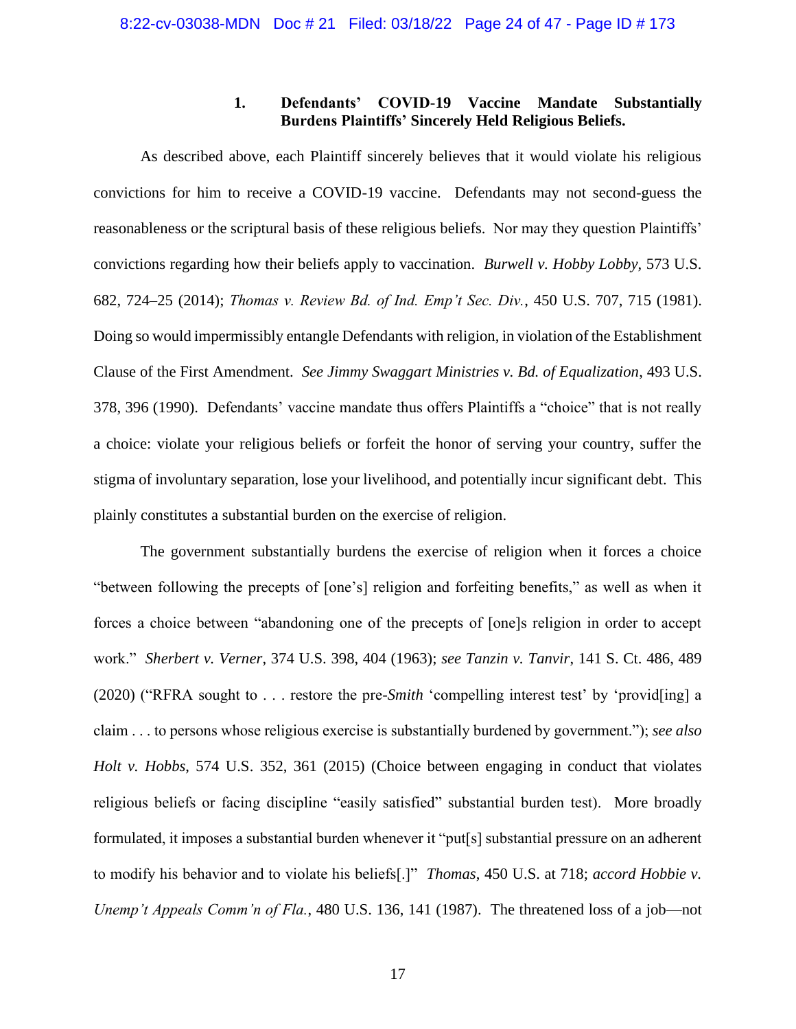# **1. Defendants' COVID-19 Vaccine Mandate Substantially Burdens Plaintiffs' Sincerely Held Religious Beliefs.**

As described above, each Plaintiff sincerely believes that it would violate his religious convictions for him to receive a COVID-19 vaccine. Defendants may not second-guess the reasonableness or the scriptural basis of these religious beliefs. Nor may they question Plaintiffs' convictions regarding how their beliefs apply to vaccination. *Burwell v. Hobby Lobby*, 573 U.S. 682, 724–25 (2014); *Thomas v. Review Bd. of Ind. Emp't Sec. Div.*, 450 U.S. 707, 715 (1981). Doing so would impermissibly entangle Defendants with religion, in violation of the Establishment Clause of the First Amendment. *See Jimmy Swaggart Ministries v. Bd. of Equalization*, 493 U.S. 378, 396 (1990). Defendants' vaccine mandate thus offers Plaintiffs a "choice" that is not really a choice: violate your religious beliefs or forfeit the honor of serving your country, suffer the stigma of involuntary separation, lose your livelihood, and potentially incur significant debt. This plainly constitutes a substantial burden on the exercise of religion.

The government substantially burdens the exercise of religion when it forces a choice "between following the precepts of [one's] religion and forfeiting benefits," as well as when it forces a choice between "abandoning one of the precepts of [one]s religion in order to accept work." *Sherbert v. Verner*, 374 U.S. 398, 404 (1963); *see Tanzin v. Tanvir*, 141 S. Ct. 486, 489 (2020) ("RFRA sought to . . . restore the pre-*Smith* 'compelling interest test' by 'provid[ing] a claim . . . to persons whose religious exercise is substantially burdened by government."); *see also Holt v. Hobbs*, 574 U.S. 352, 361 (2015) (Choice between engaging in conduct that violates religious beliefs or facing discipline "easily satisfied" substantial burden test). More broadly formulated, it imposes a substantial burden whenever it "put[s] substantial pressure on an adherent to modify his behavior and to violate his beliefs[.]" *Thomas*, 450 U.S. at 718; *accord Hobbie v. Unemp't Appeals Comm'n of Fla.*, 480 U.S. 136, 141 (1987). The threatened loss of a job—not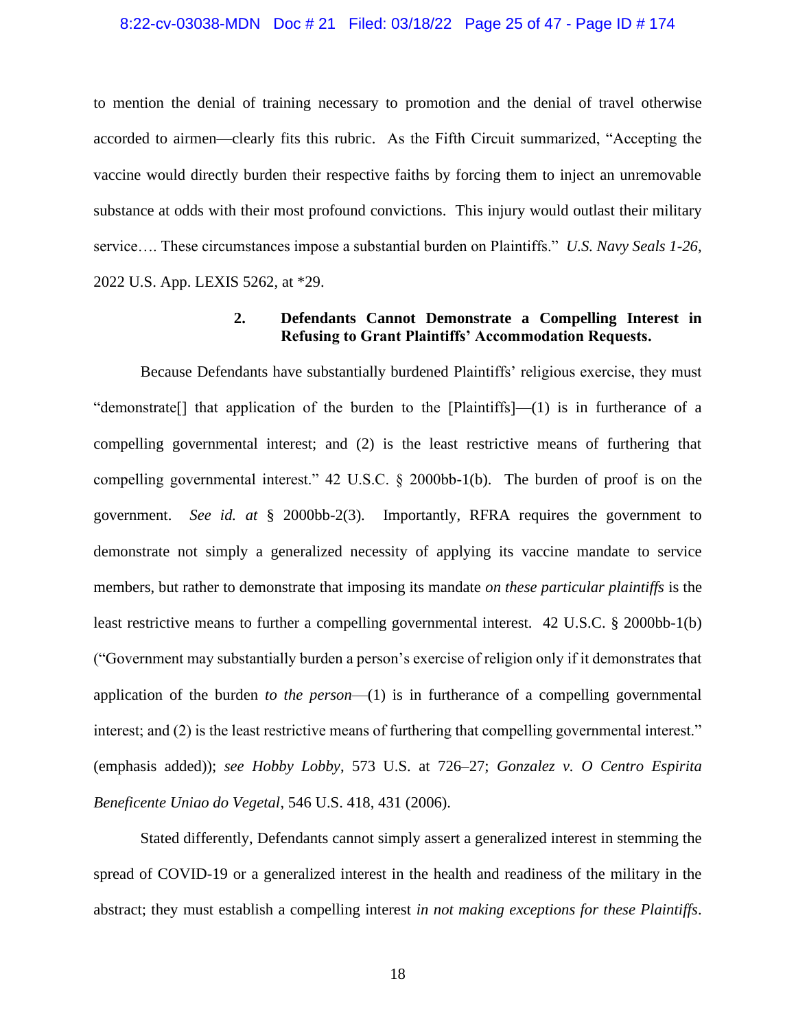#### 8:22-cv-03038-MDN Doc # 21 Filed: 03/18/22 Page 25 of 47 - Page ID # 174

to mention the denial of training necessary to promotion and the denial of travel otherwise accorded to airmen—clearly fits this rubric. As the Fifth Circuit summarized, "Accepting the vaccine would directly burden their respective faiths by forcing them to inject an unremovable substance at odds with their most profound convictions. This injury would outlast their military service…. These circumstances impose a substantial burden on Plaintiffs." *U.S. Navy Seals 1-26*, 2022 U.S. App. LEXIS 5262, at \*29.

# **2. Defendants Cannot Demonstrate a Compelling Interest in Refusing to Grant Plaintiffs' Accommodation Requests.**

Because Defendants have substantially burdened Plaintiffs' religious exercise, they must "demonstrate  $\lceil$  that application of the burden to the  $\lceil$  Plaintiffs $\lceil$ —(1) is in furtherance of a compelling governmental interest; and (2) is the least restrictive means of furthering that compelling governmental interest." 42 U.S.C. § 2000bb-1(b). The burden of proof is on the government. *See id. at* § 2000bb-2(3). Importantly, RFRA requires the government to demonstrate not simply a generalized necessity of applying its vaccine mandate to service members, but rather to demonstrate that imposing its mandate *on these particular plaintiffs* is the least restrictive means to further a compelling governmental interest. 42 U.S.C. § 2000bb-1(b) ("Government may substantially burden a person's exercise of religion only if it demonstrates that application of the burden *to the person*—(1) is in furtherance of a compelling governmental interest; and (2) is the least restrictive means of furthering that compelling governmental interest." (emphasis added)); *see Hobby Lobby*, 573 U.S. at 726–27; *Gonzalez v. O Centro Espirita Beneficente Uniao do Vegetal*, 546 U.S. 418, 431 (2006).

Stated differently, Defendants cannot simply assert a generalized interest in stemming the spread of COVID-19 or a generalized interest in the health and readiness of the military in the abstract; they must establish a compelling interest *in not making exceptions for these Plaintiffs*.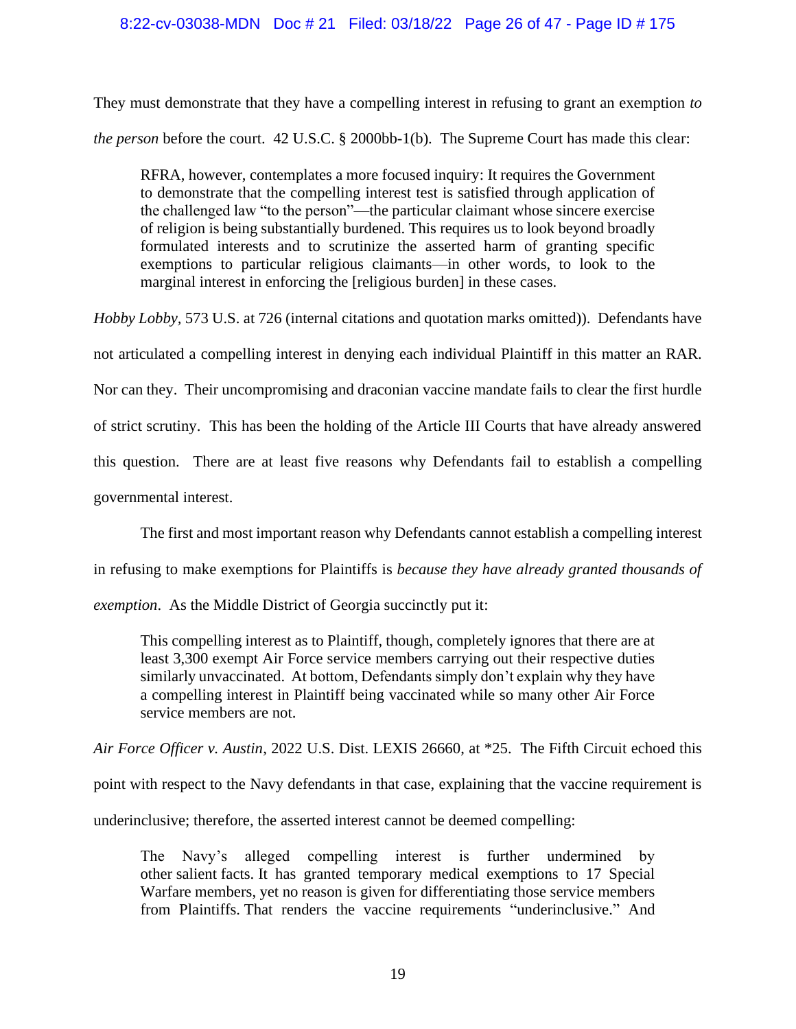### 8:22-cv-03038-MDN Doc # 21 Filed: 03/18/22 Page 26 of 47 - Page ID # 175

They must demonstrate that they have a compelling interest in refusing to grant an exemption *to the person* before the court. 42 U.S.C. § 2000bb-1(b). The Supreme Court has made this clear:

RFRA, however, contemplates a more focused inquiry: It requires the Government to demonstrate that the compelling interest test is satisfied through application of the challenged law "to the person"—the particular claimant whose sincere exercise of religion is being substantially burdened. This requires us to look beyond broadly formulated interests and to scrutinize the asserted harm of granting specific exemptions to particular religious claimants—in other words, to look to the marginal interest in enforcing the [religious burden] in these cases.

*Hobby Lobby,* 573 U.S. at 726 (internal citations and quotation marks omitted)). Defendants have not articulated a compelling interest in denying each individual Plaintiff in this matter an RAR. Nor can they. Their uncompromising and draconian vaccine mandate fails to clear the first hurdle of strict scrutiny. This has been the holding of the Article III Courts that have already answered this question. There are at least five reasons why Defendants fail to establish a compelling governmental interest.

The first and most important reason why Defendants cannot establish a compelling interest

in refusing to make exemptions for Plaintiffs is *because they have already granted thousands of* 

*exemption*. As the Middle District of Georgia succinctly put it:

This compelling interest as to Plaintiff, though, completely ignores that there are at least 3,300 exempt Air Force service members carrying out their respective duties similarly unvaccinated. At bottom, Defendants simply don't explain why they have a compelling interest in Plaintiff being vaccinated while so many other Air Force service members are not.

*Air Force Officer v. Austin*, 2022 U.S. Dist. LEXIS 26660, at \*25. The Fifth Circuit echoed this point with respect to the Navy defendants in that case, explaining that the vaccine requirement is underinclusive; therefore, the asserted interest cannot be deemed compelling:

The Navy's alleged compelling interest is further undermined by other salient facts. It has granted temporary medical exemptions to 17 Special Warfare members, yet no reason is given for differentiating those service members from Plaintiffs. That renders the vaccine requirements "underinclusive." And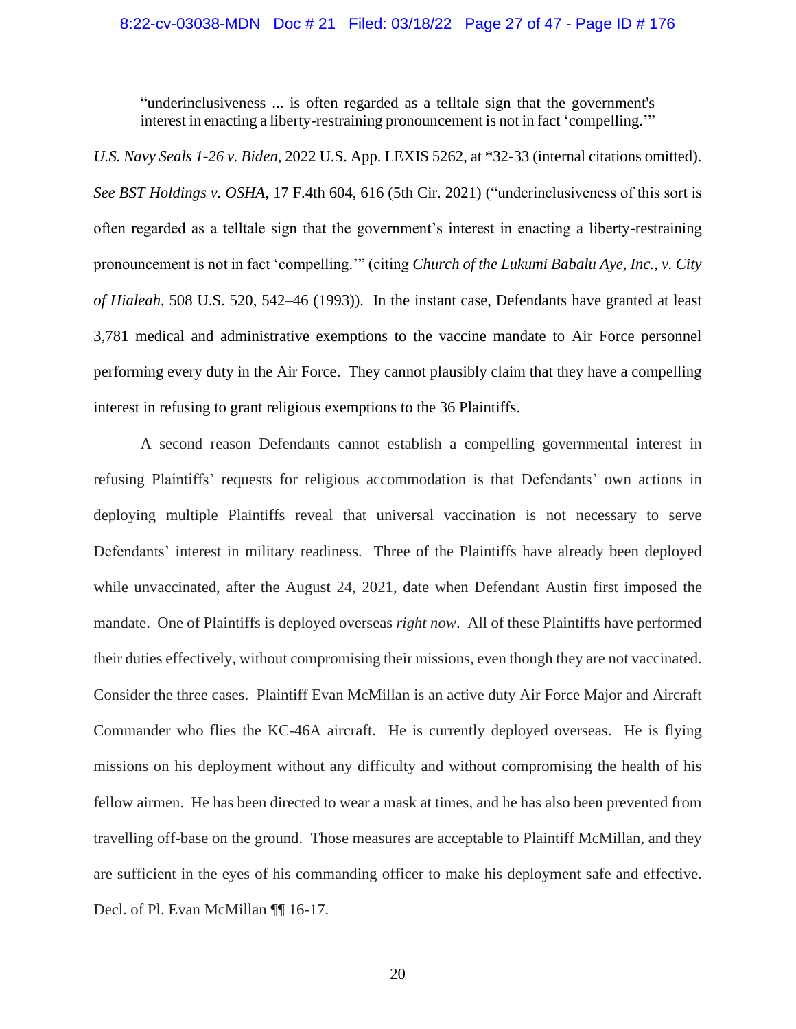#### 8:22-cv-03038-MDN Doc # 21 Filed: 03/18/22 Page 27 of 47 - Page ID # 176

"underinclusiveness ... is often regarded as a telltale sign that the government's interest in enacting a liberty-restraining pronouncement is not in fact 'compelling.'"

*U.S. Navy Seals 1-26 v. Biden*, 2022 U.S. App. LEXIS 5262, at \*32-33 (internal citations omitted). *See BST Holdings v. OSHA*, 17 F.4th 604, 616 (5th Cir. 2021) ("underinclusiveness of this sort is often regarded as a telltale sign that the government's interest in enacting a liberty-restraining pronouncement is not in fact 'compelling.'" (citing *Church of the Lukumi Babalu Aye, Inc., v. City of Hialeah*, 508 U.S. 520, 542–46 (1993)). In the instant case, Defendants have granted at least 3,781 medical and administrative exemptions to the vaccine mandate to Air Force personnel performing every duty in the Air Force. They cannot plausibly claim that they have a compelling interest in refusing to grant religious exemptions to the 36 Plaintiffs.

A second reason Defendants cannot establish a compelling governmental interest in refusing Plaintiffs' requests for religious accommodation is that Defendants' own actions in deploying multiple Plaintiffs reveal that universal vaccination is not necessary to serve Defendants' interest in military readiness. Three of the Plaintiffs have already been deployed while unvaccinated, after the August 24, 2021, date when Defendant Austin first imposed the mandate. One of Plaintiffs is deployed overseas *right now*. All of these Plaintiffs have performed their duties effectively, without compromising their missions, even though they are not vaccinated. Consider the three cases. Plaintiff Evan McMillan is an active duty Air Force Major and Aircraft Commander who flies the KC-46A aircraft. He is currently deployed overseas. He is flying missions on his deployment without any difficulty and without compromising the health of his fellow airmen. He has been directed to wear a mask at times, and he has also been prevented from travelling off-base on the ground. Those measures are acceptable to Plaintiff McMillan, and they are sufficient in the eyes of his commanding officer to make his deployment safe and effective. Decl. of Pl. Evan McMillan ¶ 16-17.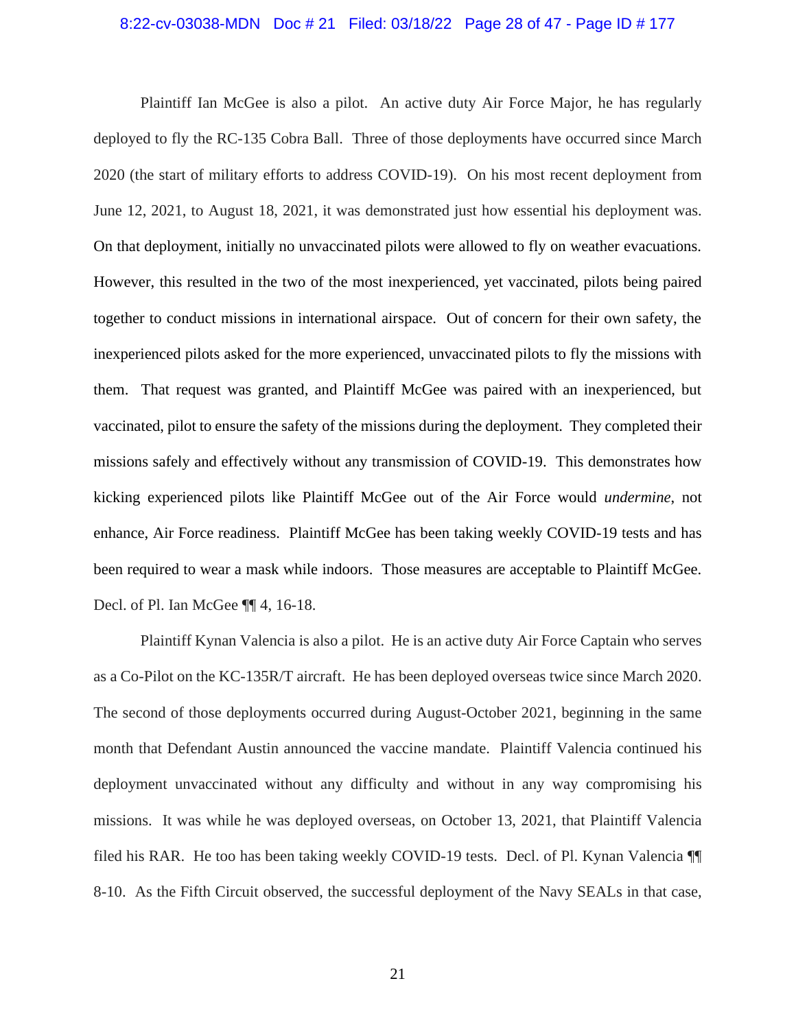#### 8:22-cv-03038-MDN Doc # 21 Filed: 03/18/22 Page 28 of 47 - Page ID # 177

Plaintiff Ian McGee is also a pilot. An active duty Air Force Major, he has regularly deployed to fly the RC-135 Cobra Ball. Three of those deployments have occurred since March 2020 (the start of military efforts to address COVID-19). On his most recent deployment from June 12, 2021, to August 18, 2021, it was demonstrated just how essential his deployment was. On that deployment, initially no unvaccinated pilots were allowed to fly on weather evacuations. However, this resulted in the two of the most inexperienced, yet vaccinated, pilots being paired together to conduct missions in international airspace. Out of concern for their own safety, the inexperienced pilots asked for the more experienced, unvaccinated pilots to fly the missions with them. That request was granted, and Plaintiff McGee was paired with an inexperienced, but vaccinated, pilot to ensure the safety of the missions during the deployment. They completed their missions safely and effectively without any transmission of COVID-19. This demonstrates how kicking experienced pilots like Plaintiff McGee out of the Air Force would *undermine*, not enhance, Air Force readiness. Plaintiff McGee has been taking weekly COVID-19 tests and has been required to wear a mask while indoors. Those measures are acceptable to Plaintiff McGee. Decl. of Pl. Ian McGee ¶¶ 4, 16-18.

Plaintiff Kynan Valencia is also a pilot. He is an active duty Air Force Captain who serves as a Co-Pilot on the KC-135R/T aircraft. He has been deployed overseas twice since March 2020. The second of those deployments occurred during August-October 2021, beginning in the same month that Defendant Austin announced the vaccine mandate. Plaintiff Valencia continued his deployment unvaccinated without any difficulty and without in any way compromising his missions. It was while he was deployed overseas, on October 13, 2021, that Plaintiff Valencia filed his RAR. He too has been taking weekly COVID-19 tests. Decl. of Pl. Kynan Valencia ¶¶ 8-10. As the Fifth Circuit observed, the successful deployment of the Navy SEALs in that case,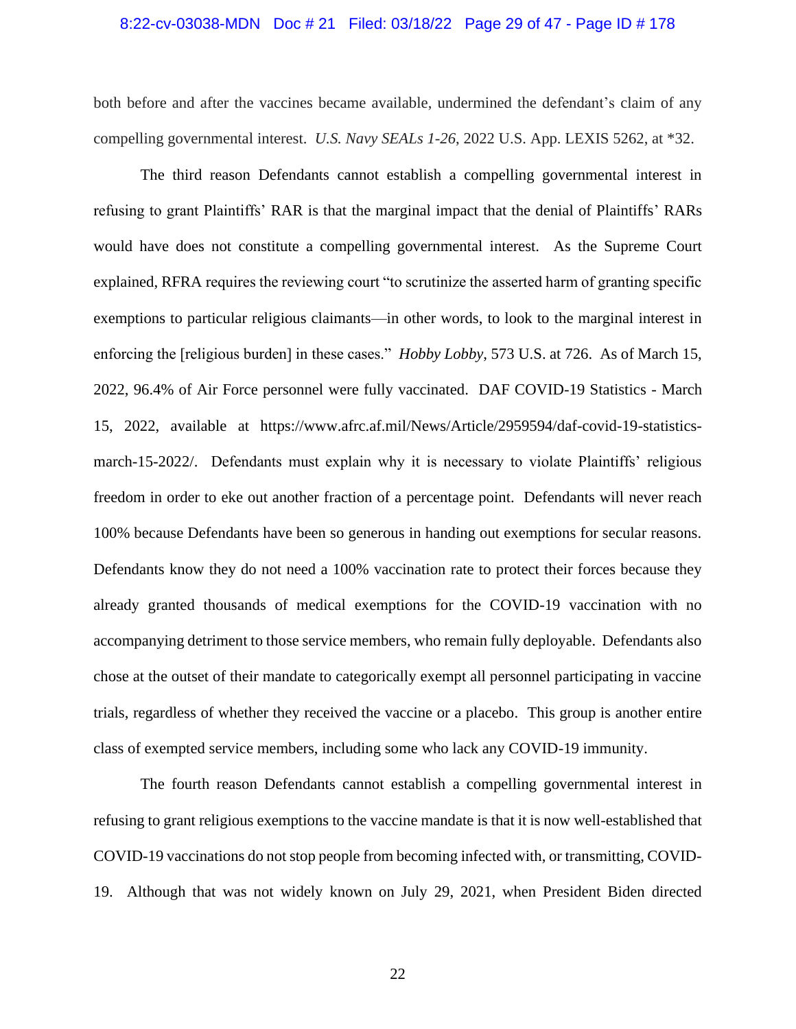#### 8:22-cv-03038-MDN Doc # 21 Filed: 03/18/22 Page 29 of 47 - Page ID # 178

both before and after the vaccines became available, undermined the defendant's claim of any compelling governmental interest. *U.S. Navy SEALs 1-26*, 2022 U.S. App. LEXIS 5262, at \*32.

The third reason Defendants cannot establish a compelling governmental interest in refusing to grant Plaintiffs' RAR is that the marginal impact that the denial of Plaintiffs' RARs would have does not constitute a compelling governmental interest. As the Supreme Court explained, RFRA requires the reviewing court "to scrutinize the asserted harm of granting specific exemptions to particular religious claimants—in other words, to look to the marginal interest in enforcing the [religious burden] in these cases." *Hobby Lobby*, 573 U.S. at 726. As of March 15, 2022, 96.4% of Air Force personnel were fully vaccinated. DAF COVID-19 Statistics - March 15, 2022, available at https://www.afrc.af.mil/News/Article/2959594/daf-covid-19-statisticsmarch-15-2022/. Defendants must explain why it is necessary to violate Plaintiffs' religious freedom in order to eke out another fraction of a percentage point. Defendants will never reach 100% because Defendants have been so generous in handing out exemptions for secular reasons. Defendants know they do not need a 100% vaccination rate to protect their forces because they already granted thousands of medical exemptions for the COVID-19 vaccination with no accompanying detriment to those service members, who remain fully deployable. Defendants also chose at the outset of their mandate to categorically exempt all personnel participating in vaccine trials, regardless of whether they received the vaccine or a placebo. This group is another entire class of exempted service members, including some who lack any COVID-19 immunity.

The fourth reason Defendants cannot establish a compelling governmental interest in refusing to grant religious exemptions to the vaccine mandate is that it is now well-established that COVID-19 vaccinations do not stop people from becoming infected with, or transmitting, COVID-19. Although that was not widely known on July 29, 2021, when President Biden directed

22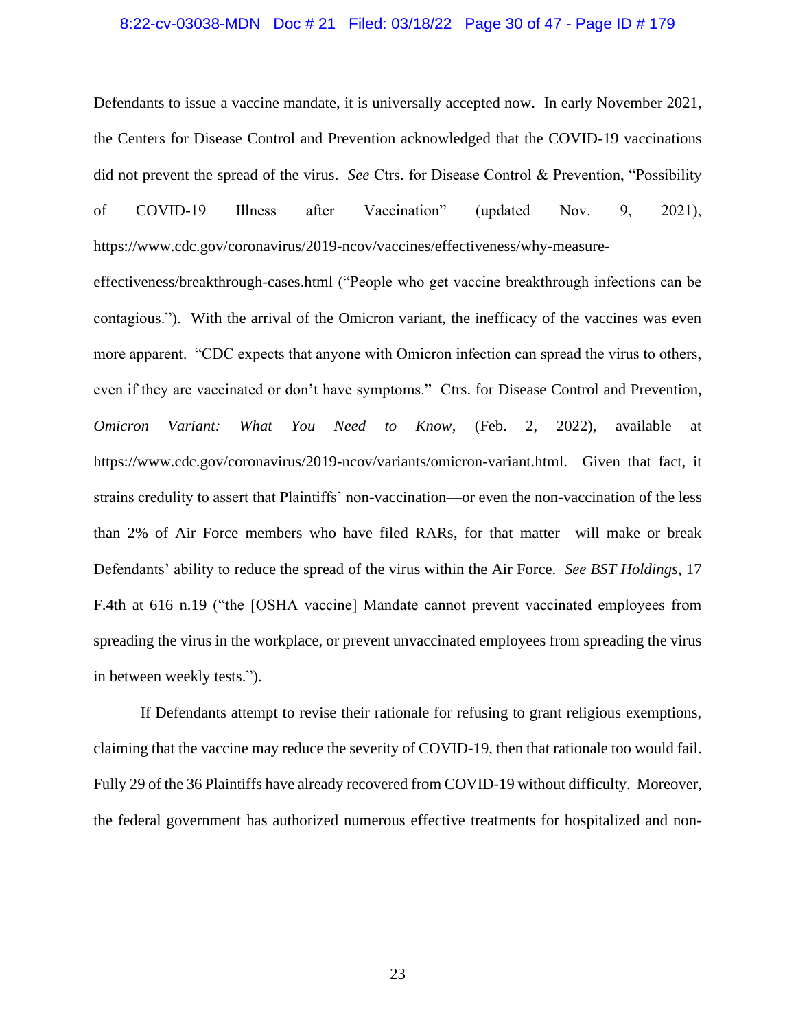#### 8:22-cv-03038-MDN Doc # 21 Filed: 03/18/22 Page 30 of 47 - Page ID # 179

Defendants to issue a vaccine mandate, it is universally accepted now. In early November 2021, the Centers for Disease Control and Prevention acknowledged that the COVID-19 vaccinations did not prevent the spread of the virus. *See* Ctrs. for Disease Control & Prevention, "Possibility of COVID-19 Illness after Vaccination" (updated Nov. 9, 2021), https://www.cdc.gov/coronavirus/2019-ncov/vaccines/effectiveness/why-measure-

effectiveness/breakthrough-cases.html ("People who get vaccine breakthrough infections can be contagious."). With the arrival of the Omicron variant, the inefficacy of the vaccines was even more apparent. "CDC expects that anyone with Omicron infection can spread the virus to others, even if they are vaccinated or don't have symptoms." Ctrs. for Disease Control and Prevention, *Omicron Variant: What You Need to Know,* (Feb. 2, 2022), available at https://www.cdc.gov/coronavirus/2019-ncov/variants/omicron-variant.html. Given that fact, it strains credulity to assert that Plaintiffs' non-vaccination—or even the non-vaccination of the less than 2% of Air Force members who have filed RARs, for that matter—will make or break Defendants' ability to reduce the spread of the virus within the Air Force. *See BST Holdings*, 17 F.4th at 616 n.19 ("the [OSHA vaccine] Mandate cannot prevent vaccinated employees from spreading the virus in the workplace, or prevent unvaccinated employees from spreading the virus in between weekly tests.").

If Defendants attempt to revise their rationale for refusing to grant religious exemptions, claiming that the vaccine may reduce the severity of COVID-19, then that rationale too would fail. Fully 29 of the 36 Plaintiffs have already recovered from COVID-19 without difficulty. Moreover, the federal government has authorized numerous effective treatments for hospitalized and non-

23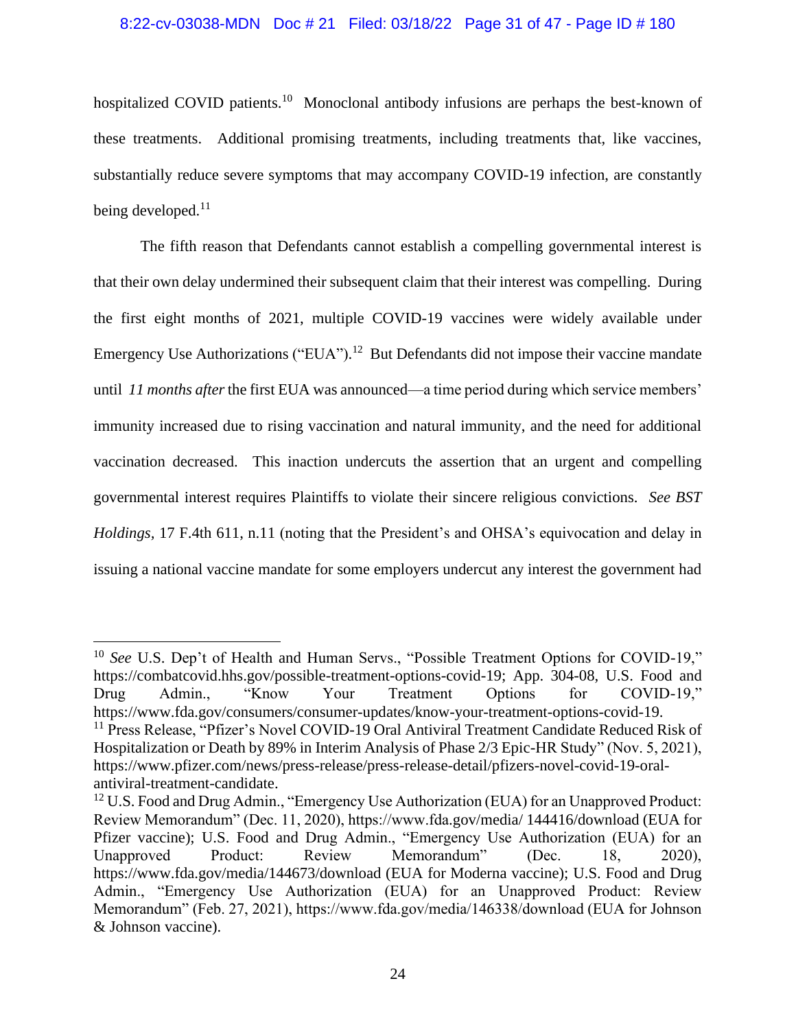#### 8:22-cv-03038-MDN Doc # 21 Filed: 03/18/22 Page 31 of 47 - Page ID # 180

hospitalized COVID patients.<sup>10</sup> Monoclonal antibody infusions are perhaps the best-known of these treatments. Additional promising treatments, including treatments that, like vaccines, substantially reduce severe symptoms that may accompany COVID-19 infection, are constantly being developed.<sup>11</sup>

The fifth reason that Defendants cannot establish a compelling governmental interest is that their own delay undermined their subsequent claim that their interest was compelling. During the first eight months of 2021, multiple COVID-19 vaccines were widely available under Emergency Use Authorizations ("EUA").<sup>12</sup> But Defendants did not impose their vaccine mandate until *11 months after*the first EUA was announced—a time period during which service members' immunity increased due to rising vaccination and natural immunity, and the need for additional vaccination decreased. This inaction undercuts the assertion that an urgent and compelling governmental interest requires Plaintiffs to violate their sincere religious convictions. *See BST Holdings,* 17 F.4th 611, n.11 (noting that the President's and OHSA's equivocation and delay in issuing a national vaccine mandate for some employers undercut any interest the government had

<sup>&</sup>lt;sup>10</sup> *See* U.S. Dep't of Health and Human Servs., "Possible Treatment Options for COVID-19," https://combatcovid.hhs.gov/possible-treatment-options-covid-19; App. 304-08, U.S. Food and Drug Admin., "Know Your Treatment Options for COVID-19," https://www.fda.gov/consumers/consumer-updates/know-your-treatment-options-covid-19.

<sup>&</sup>lt;sup>11</sup> Press Release, "Pfizer's Novel COVID-19 Oral Antiviral Treatment Candidate Reduced Risk of Hospitalization or Death by 89% in Interim Analysis of Phase 2/3 Epic-HR Study" (Nov. 5, 2021), https://www.pfizer.com/news/press-release/press-release-detail/pfizers-novel-covid-19-oralantiviral-treatment-candidate.

 $12$  U.S. Food and Drug Admin., "Emergency Use Authorization (EUA) for an Unapproved Product: Review Memorandum" (Dec. 11, 2020), https://www.fda.gov/media/ 144416/download (EUA for Pfizer vaccine); U.S. Food and Drug Admin., "Emergency Use Authorization (EUA) for an Unapproved Product: Review Memorandum" (Dec. 18, 2020), https://www.fda.gov/media/144673/download (EUA for Moderna vaccine); U.S. Food and Drug Admin., "Emergency Use Authorization (EUA) for an Unapproved Product: Review Memorandum" (Feb. 27, 2021), https://www.fda.gov/media/146338/download (EUA for Johnson & Johnson vaccine).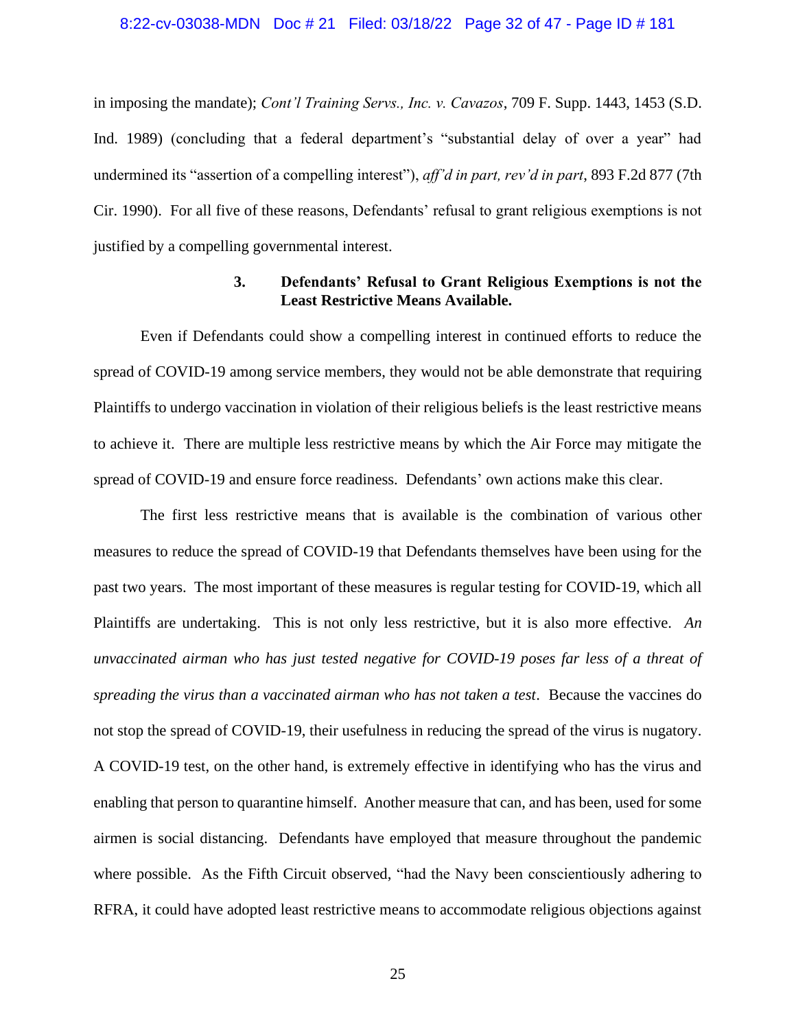#### 8:22-cv-03038-MDN Doc # 21 Filed: 03/18/22 Page 32 of 47 - Page ID # 181

in imposing the mandate); *Cont'l Training Servs., Inc. v. Cavazos*, 709 F. Supp. 1443, 1453 (S.D. Ind. 1989) (concluding that a federal department's "substantial delay of over a year" had undermined its "assertion of a compelling interest"), *aff'd in part, rev'd in part*, 893 F.2d 877 (7th Cir. 1990). For all five of these reasons, Defendants' refusal to grant religious exemptions is not justified by a compelling governmental interest.

# **3. Defendants' Refusal to Grant Religious Exemptions is not the Least Restrictive Means Available.**

Even if Defendants could show a compelling interest in continued efforts to reduce the spread of COVID-19 among service members, they would not be able demonstrate that requiring Plaintiffs to undergo vaccination in violation of their religious beliefs is the least restrictive means to achieve it. There are multiple less restrictive means by which the Air Force may mitigate the spread of COVID-19 and ensure force readiness. Defendants' own actions make this clear.

The first less restrictive means that is available is the combination of various other measures to reduce the spread of COVID-19 that Defendants themselves have been using for the past two years. The most important of these measures is regular testing for COVID-19, which all Plaintiffs are undertaking. This is not only less restrictive, but it is also more effective. *An unvaccinated airman who has just tested negative for COVID-19 poses far less of a threat of spreading the virus than a vaccinated airman who has not taken a test*. Because the vaccines do not stop the spread of COVID-19, their usefulness in reducing the spread of the virus is nugatory. A COVID-19 test, on the other hand, is extremely effective in identifying who has the virus and enabling that person to quarantine himself. Another measure that can, and has been, used for some airmen is social distancing. Defendants have employed that measure throughout the pandemic where possible. As the Fifth Circuit observed, "had the Navy been conscientiously adhering to RFRA, it could have adopted least restrictive means to accommodate religious objections against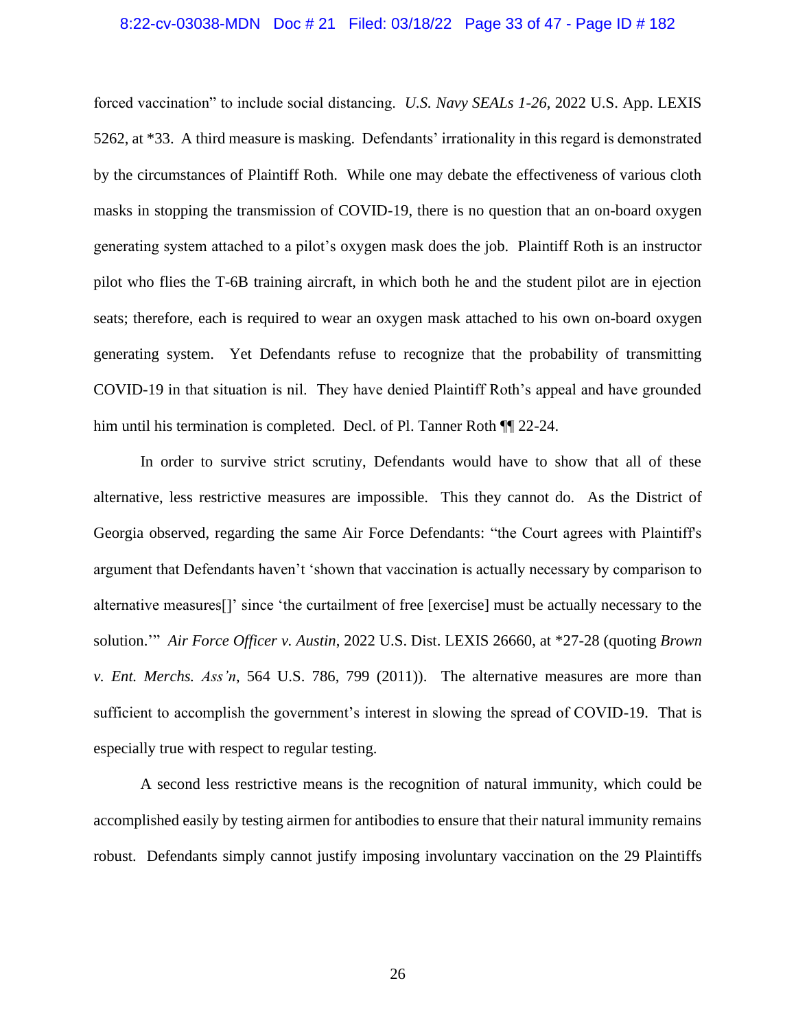#### 8:22-cv-03038-MDN Doc # 21 Filed: 03/18/22 Page 33 of 47 - Page ID # 182

forced vaccination" to include social distancing. *U.S. Navy SEALs 1-26*, 2022 U.S. App. LEXIS 5262, at \*33. A third measure is masking. Defendants' irrationality in this regard is demonstrated by the circumstances of Plaintiff Roth. While one may debate the effectiveness of various cloth masks in stopping the transmission of COVID-19, there is no question that an on-board oxygen generating system attached to a pilot's oxygen mask does the job. Plaintiff Roth is an instructor pilot who flies the T-6B training aircraft, in which both he and the student pilot are in ejection seats; therefore, each is required to wear an oxygen mask attached to his own on-board oxygen generating system. Yet Defendants refuse to recognize that the probability of transmitting COVID-19 in that situation is nil. They have denied Plaintiff Roth's appeal and have grounded him until his termination is completed. Decl. of Pl. Tanner Roth  $\P$  22-24.

In order to survive strict scrutiny, Defendants would have to show that all of these alternative, less restrictive measures are impossible. This they cannot do. As the District of Georgia observed, regarding the same Air Force Defendants: "the Court agrees with Plaintiff's argument that Defendants haven't 'shown that vaccination is actually necessary by comparison to alternative measures[]' since 'the curtailment of free [exercise] must be actually necessary to the solution.'" *Air Force Officer v. Austin*, 2022 U.S. Dist. LEXIS 26660, at \*27-28 (quoting *Brown v. Ent. Merchs. Ass'n*, 564 U.S. 786, 799 (2011)). The alternative measures are more than sufficient to accomplish the government's interest in slowing the spread of COVID-19. That is especially true with respect to regular testing.

A second less restrictive means is the recognition of natural immunity, which could be accomplished easily by testing airmen for antibodies to ensure that their natural immunity remains robust. Defendants simply cannot justify imposing involuntary vaccination on the 29 Plaintiffs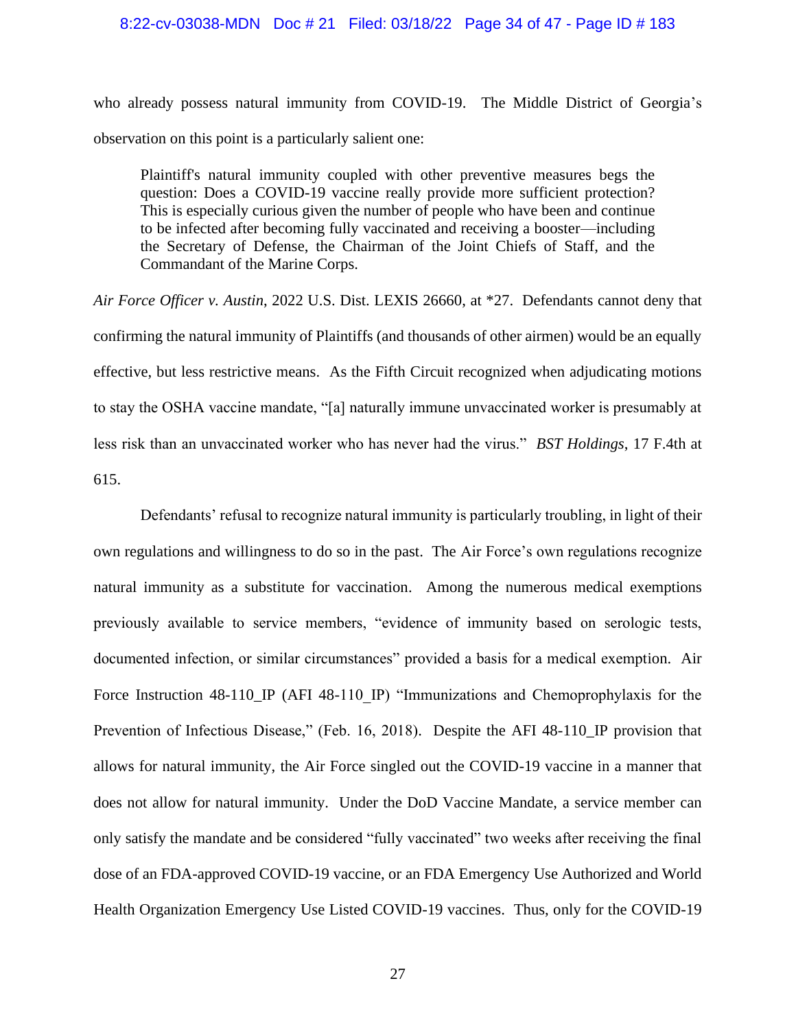#### 8:22-cv-03038-MDN Doc # 21 Filed: 03/18/22 Page 34 of 47 - Page ID # 183

who already possess natural immunity from COVID-19. The Middle District of Georgia's observation on this point is a particularly salient one:

Plaintiff's natural immunity coupled with other preventive measures begs the question: Does a COVID-19 vaccine really provide more sufficient protection? This is especially curious given the number of people who have been and continue to be infected after becoming fully vaccinated and receiving a booster—including the Secretary of Defense, the Chairman of the Joint Chiefs of Staff, and the Commandant of the Marine Corps.

*Air Force Officer v. Austin*, 2022 U.S. Dist. LEXIS 26660, at \*27. Defendants cannot deny that confirming the natural immunity of Plaintiffs (and thousands of other airmen) would be an equally effective, but less restrictive means. As the Fifth Circuit recognized when adjudicating motions to stay the OSHA vaccine mandate, "[a] naturally immune unvaccinated worker is presumably at less risk than an unvaccinated worker who has never had the virus." *BST Holdings*, 17 F.4th at 615.

Defendants' refusal to recognize natural immunity is particularly troubling, in light of their own regulations and willingness to do so in the past. The Air Force's own regulations recognize natural immunity as a substitute for vaccination. Among the numerous medical exemptions previously available to service members, "evidence of immunity based on serologic tests, documented infection, or similar circumstances" provided a basis for a medical exemption. Air Force Instruction 48-110\_IP (AFI 48-110 IP) "Immunizations and Chemoprophylaxis for the Prevention of Infectious Disease," (Feb. 16, 2018). Despite the AFI 48-110<sub></sub> IP provision that allows for natural immunity, the Air Force singled out the COVID-19 vaccine in a manner that does not allow for natural immunity. Under the DoD Vaccine Mandate, a service member can only satisfy the mandate and be considered "fully vaccinated" two weeks after receiving the final dose of an FDA-approved COVID-19 vaccine, or an FDA Emergency Use Authorized and World Health Organization Emergency Use Listed COVID-19 vaccines. Thus, only for the COVID-19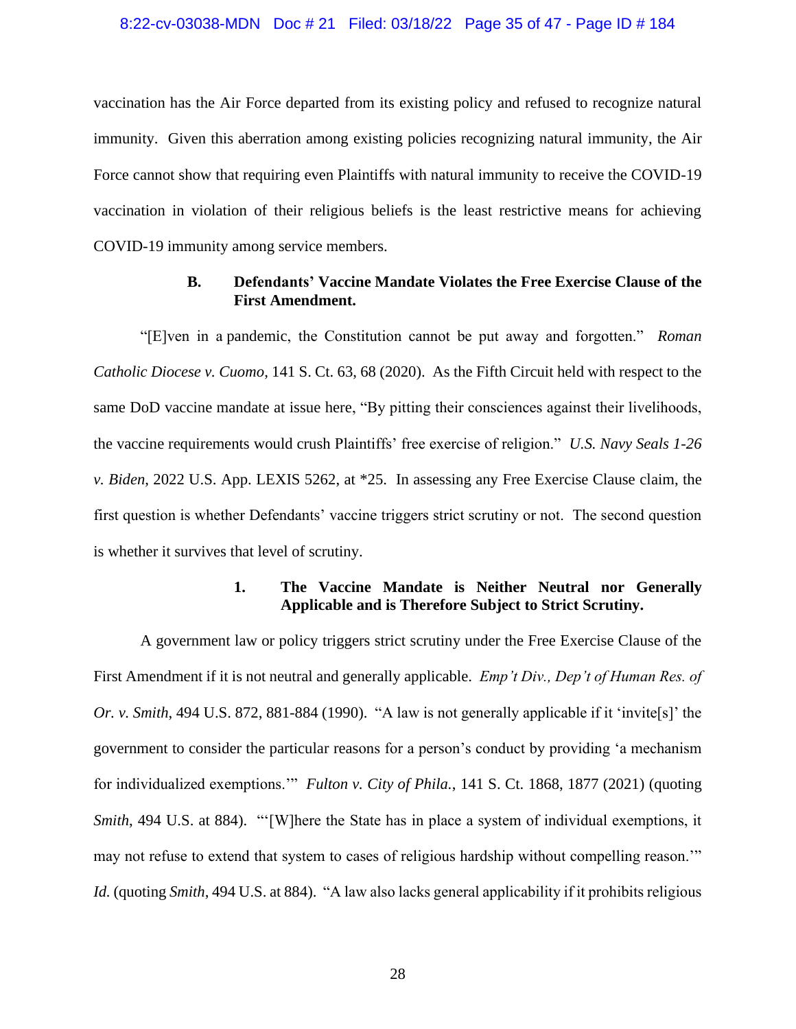#### 8:22-cv-03038-MDN Doc # 21 Filed: 03/18/22 Page 35 of 47 - Page ID # 184

vaccination has the Air Force departed from its existing policy and refused to recognize natural immunity. Given this aberration among existing policies recognizing natural immunity, the Air Force cannot show that requiring even Plaintiffs with natural immunity to receive the COVID-19 vaccination in violation of their religious beliefs is the least restrictive means for achieving COVID-19 immunity among service members.

# **B. Defendants' Vaccine Mandate Violates the Free Exercise Clause of the First Amendment.**

"[E]ven in a pandemic, the Constitution cannot be put away and forgotten." *Roman Catholic Diocese v. Cuomo*, 141 S. Ct. 63, 68 (2020). As the Fifth Circuit held with respect to the same DoD vaccine mandate at issue here, "By pitting their consciences against their livelihoods, the vaccine requirements would crush Plaintiffs' free exercise of religion." *U.S. Navy Seals 1-26 v. Biden*, 2022 U.S. App. LEXIS 5262, at \*25. In assessing any Free Exercise Clause claim, the first question is whether Defendants' vaccine triggers strict scrutiny or not. The second question is whether it survives that level of scrutiny.

# **1. The Vaccine Mandate is Neither Neutral nor Generally Applicable and is Therefore Subject to Strict Scrutiny.**

A government law or policy triggers strict scrutiny under the Free Exercise Clause of the First Amendment if it is not neutral and generally applicable. *Emp't Div., Dep't of Human Res. of Or. v. Smith*, 494 U.S. 872, 881-884 (1990). "A law is not generally applicable if it 'invite[s]' the government to consider the particular reasons for a person's conduct by providing 'a mechanism for individualized exemptions.'" *Fulton v. City of Phila.*, 141 S. Ct. 1868, 1877 (2021) (quoting *Smith*, 494 U.S. at 884). "'[W]here the State has in place a system of individual exemptions, it may not refuse to extend that system to cases of religious hardship without compelling reason.'" *Id.* (quoting *Smith*, 494 U.S. at 884). "A law also lacks general applicability if it prohibits religious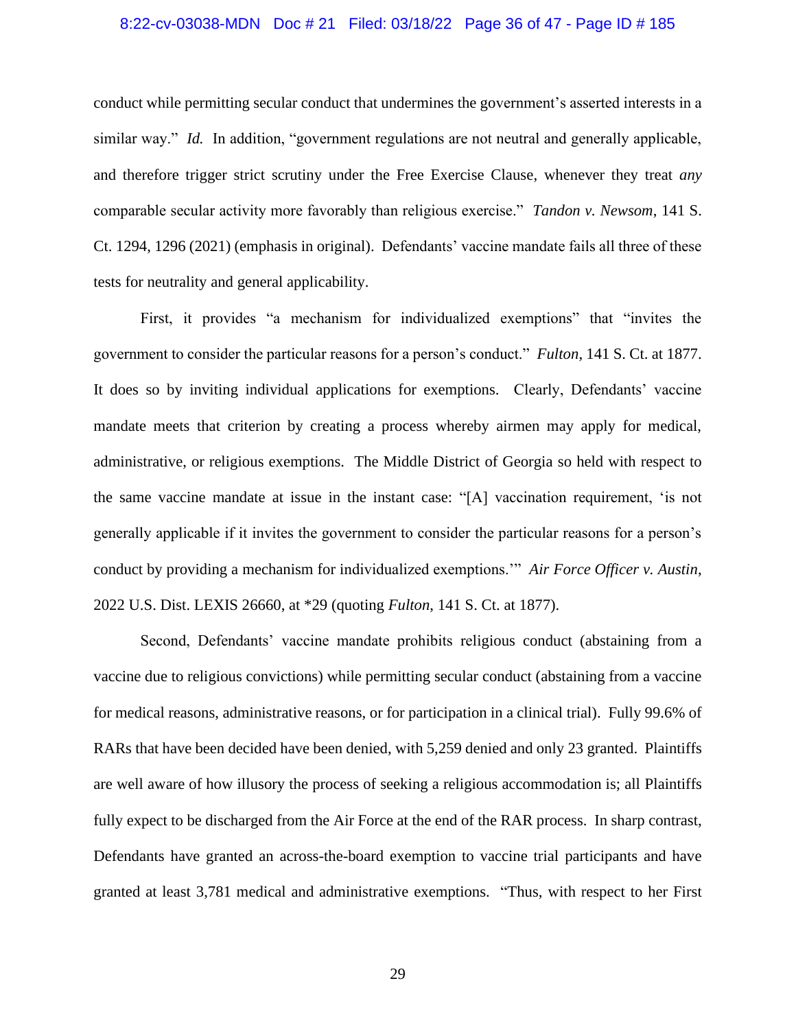#### 8:22-cv-03038-MDN Doc # 21 Filed: 03/18/22 Page 36 of 47 - Page ID # 185

conduct while permitting secular conduct that undermines the government's asserted interests in a similar way." *Id.* In addition, "government regulations are not neutral and generally applicable, and therefore trigger strict scrutiny under the Free Exercise Clause, whenever they treat *any*  comparable secular activity more favorably than religious exercise." *Tandon v. Newsom*, 141 S. Ct. 1294, 1296 (2021) (emphasis in original). Defendants' vaccine mandate fails all three of these tests for neutrality and general applicability.

First, it provides "a mechanism for individualized exemptions" that "invites the government to consider the particular reasons for a person's conduct." *Fulton*, 141 S. Ct. at 1877. It does so by inviting individual applications for exemptions. Clearly, Defendants' vaccine mandate meets that criterion by creating a process whereby airmen may apply for medical, administrative, or religious exemptions. The Middle District of Georgia so held with respect to the same vaccine mandate at issue in the instant case: "[A] vaccination requirement, 'is not generally applicable if it invites the government to consider the particular reasons for a person's conduct by providing a mechanism for individualized exemptions.'" *Air Force Officer v. Austin*, 2022 U.S. Dist. LEXIS 26660, at \*29 (quoting *Fulton*, 141 S. Ct. at 1877).

Second, Defendants' vaccine mandate prohibits religious conduct (abstaining from a vaccine due to religious convictions) while permitting secular conduct (abstaining from a vaccine for medical reasons, administrative reasons, or for participation in a clinical trial). Fully 99.6% of RARs that have been decided have been denied, with 5,259 denied and only 23 granted. Plaintiffs are well aware of how illusory the process of seeking a religious accommodation is; all Plaintiffs fully expect to be discharged from the Air Force at the end of the RAR process. In sharp contrast, Defendants have granted an across-the-board exemption to vaccine trial participants and have granted at least 3,781 medical and administrative exemptions. "Thus, with respect to her First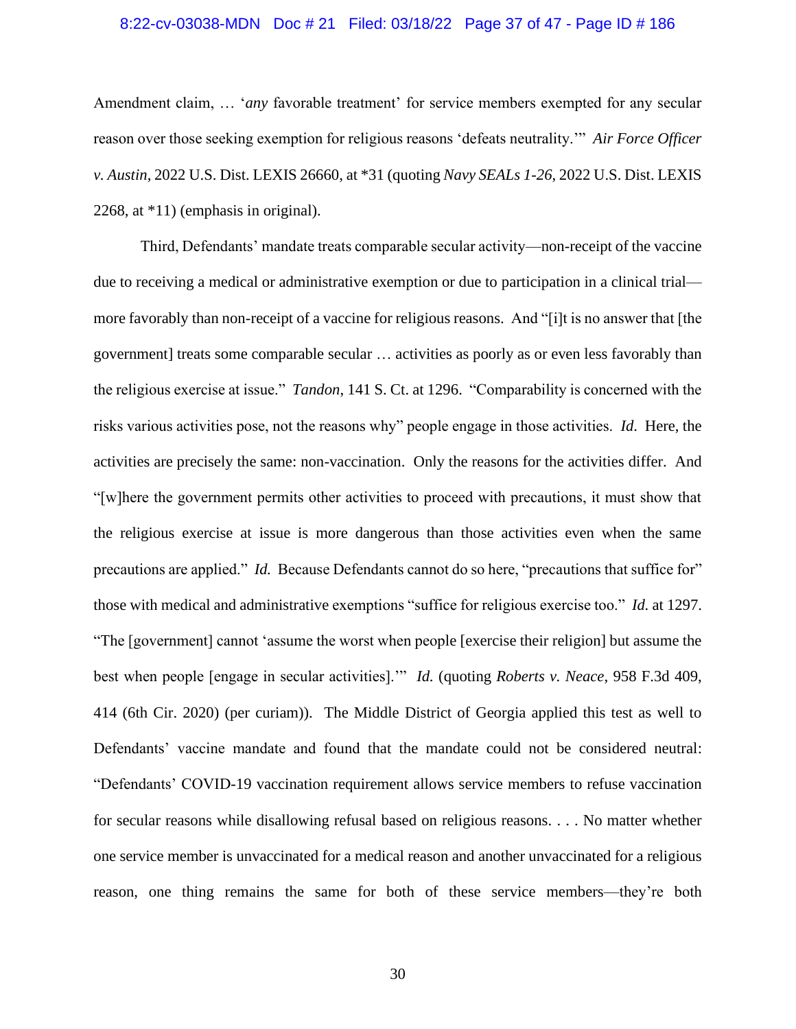#### 8:22-cv-03038-MDN Doc # 21 Filed: 03/18/22 Page 37 of 47 - Page ID # 186

Amendment claim, … '*any* favorable treatment' for service members exempted for any secular reason over those seeking exemption for religious reasons 'defeats neutrality.'" *Air Force Officer v. Austin*, 2022 U.S. Dist. LEXIS 26660, at \*31 (quoting *Navy SEALs 1-26*, 2022 U.S. Dist. LEXIS 2268, at \*11) (emphasis in original).

Third, Defendants' mandate treats comparable secular activity—non-receipt of the vaccine due to receiving a medical or administrative exemption or due to participation in a clinical trial more favorably than non-receipt of a vaccine for religious reasons. And "[i]t is no answer that [the government] treats some comparable secular … activities as poorly as or even less favorably than the religious exercise at issue." *Tandon*, 141 S. Ct. at 1296. "Comparability is concerned with the risks various activities pose, not the reasons why" people engage in those activities. *Id*. Here, the activities are precisely the same: non-vaccination. Only the reasons for the activities differ. And "[w]here the government permits other activities to proceed with precautions, it must show that the religious exercise at issue is more dangerous than those activities even when the same precautions are applied." *Id.* Because Defendants cannot do so here, "precautions that suffice for" those with medical and administrative exemptions "suffice for religious exercise too." *Id.* at 1297. "The [government] cannot 'assume the worst when people [exercise their religion] but assume the best when people [engage in secular activities].'" *Id.* (quoting *Roberts v. Neace*, 958 F.3d 409, 414 (6th Cir. 2020) (per curiam)). The Middle District of Georgia applied this test as well to Defendants' vaccine mandate and found that the mandate could not be considered neutral: "Defendants' COVID-19 vaccination requirement allows service members to refuse vaccination for secular reasons while disallowing refusal based on religious reasons. . . . No matter whether one service member is unvaccinated for a medical reason and another unvaccinated for a religious reason, one thing remains the same for both of these service members—they're both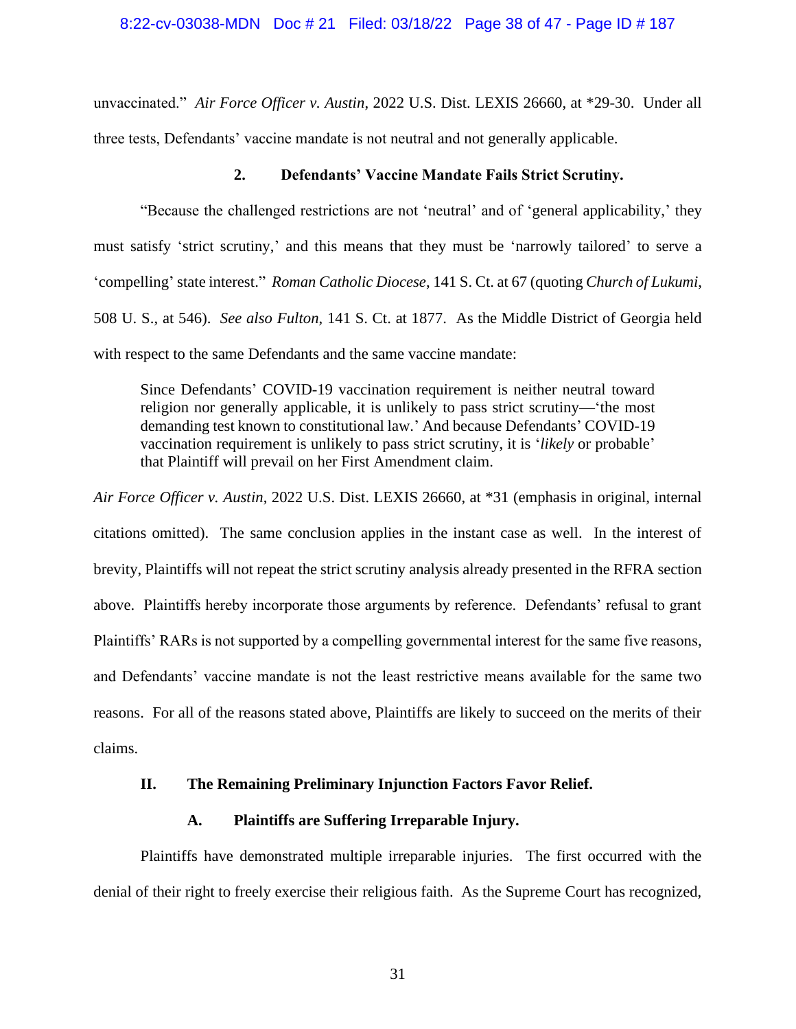unvaccinated." *Air Force Officer v. Austin*, 2022 U.S. Dist. LEXIS 26660, at \*29-30. Under all three tests, Defendants' vaccine mandate is not neutral and not generally applicable.

#### **2. Defendants' Vaccine Mandate Fails Strict Scrutiny.**

"Because the challenged restrictions are not 'neutral' and of 'general applicability,' they must satisfy 'strict scrutiny,' and this means that they must be 'narrowly tailored' to serve a 'compelling' state interest." *Roman Catholic Diocese*, 141 S. Ct. at 67 (quoting *Church of Lukumi*, 508 U. S., at 546). *See also Fulton*, 141 S. Ct. at 1877. As the Middle District of Georgia held with respect to the same Defendants and the same vaccine mandate:

Since Defendants' COVID-19 vaccination requirement is neither neutral toward religion nor generally applicable, it is unlikely to pass strict scrutiny—'the most demanding test known to constitutional law.' And because Defendants' COVID-19 vaccination requirement is unlikely to pass strict scrutiny, it is '*likely* or probable' that Plaintiff will prevail on her First Amendment claim.

*Air Force Officer v. Austin*, 2022 U.S. Dist. LEXIS 26660, at \*31 (emphasis in original, internal citations omitted). The same conclusion applies in the instant case as well. In the interest of brevity, Plaintiffs will not repeat the strict scrutiny analysis already presented in the RFRA section above. Plaintiffs hereby incorporate those arguments by reference. Defendants' refusal to grant Plaintiffs' RARs is not supported by a compelling governmental interest for the same five reasons, and Defendants' vaccine mandate is not the least restrictive means available for the same two reasons. For all of the reasons stated above, Plaintiffs are likely to succeed on the merits of their claims.

### **II. The Remaining Preliminary Injunction Factors Favor Relief.**

#### **A. Plaintiffs are Suffering Irreparable Injury.**

Plaintiffs have demonstrated multiple irreparable injuries. The first occurred with the denial of their right to freely exercise their religious faith. As the Supreme Court has recognized,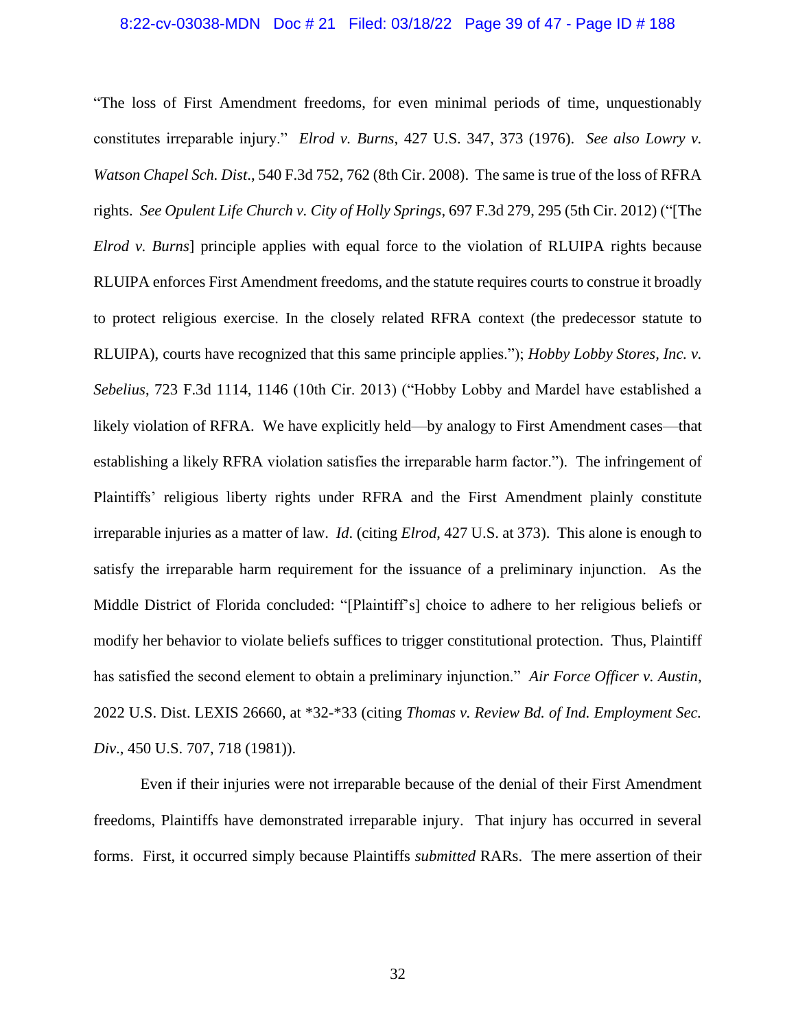#### 8:22-cv-03038-MDN Doc # 21 Filed: 03/18/22 Page 39 of 47 - Page ID # 188

"The loss of First Amendment freedoms, for even minimal periods of time, unquestionably constitutes irreparable injury." *Elrod v. Burns*, 427 U.S. 347, 373 (1976). *See also Lowry v. Watson Chapel Sch. Dist*., 540 F.3d 752, 762 (8th Cir. 2008). The same is true of the loss of RFRA rights. *See Opulent Life Church v. City of Holly Springs*, 697 F.3d 279, 295 (5th Cir. 2012) ("[The *Elrod v. Burns*] principle applies with equal force to the violation of RLUIPA rights because RLUIPA enforces First Amendment freedoms, and the statute requires courts to construe it broadly to protect religious exercise. In the closely related RFRA context (the predecessor statute to RLUIPA), courts have recognized that this same principle applies."); *Hobby Lobby Stores, Inc. v. Sebelius*, 723 F.3d 1114, 1146 (10th Cir. 2013) ("Hobby Lobby and Mardel have established a likely violation of RFRA. We have explicitly held—by analogy to First Amendment cases—that establishing a likely RFRA violation satisfies the irreparable harm factor."). The infringement of Plaintiffs' religious liberty rights under RFRA and the First Amendment plainly constitute irreparable injuries as a matter of law. *Id*. (citing *Elrod*, 427 U.S. at 373). This alone is enough to satisfy the irreparable harm requirement for the issuance of a preliminary injunction. As the Middle District of Florida concluded: "[Plaintiff's] choice to adhere to her religious beliefs or modify her behavior to violate beliefs suffices to trigger constitutional protection. Thus, Plaintiff has satisfied the second element to obtain a preliminary injunction." *Air Force Officer v. Austin*, 2022 U.S. Dist. LEXIS 26660, at \*32-\*33 (citing *Thomas v. Review Bd. of Ind. Employment Sec. Div*., 450 U.S. 707, 718 (1981)).

Even if their injuries were not irreparable because of the denial of their First Amendment freedoms, Plaintiffs have demonstrated irreparable injury. That injury has occurred in several forms. First, it occurred simply because Plaintiffs *submitted* RARs. The mere assertion of their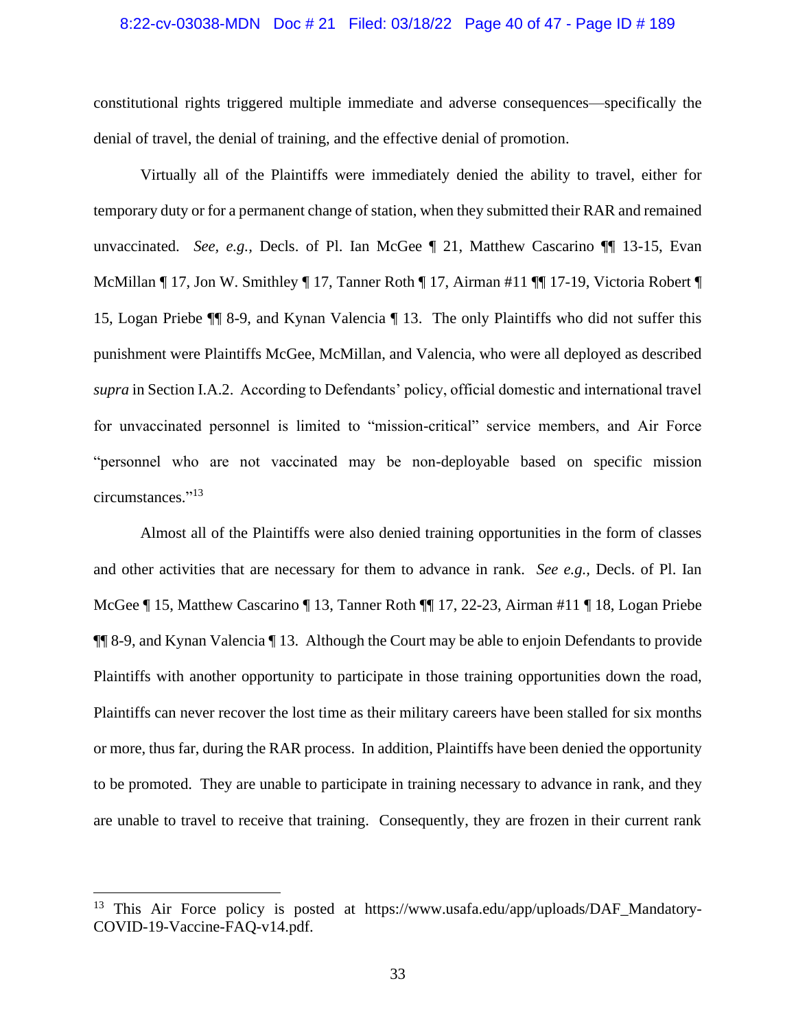#### 8:22-cv-03038-MDN Doc # 21 Filed: 03/18/22 Page 40 of 47 - Page ID # 189

constitutional rights triggered multiple immediate and adverse consequences—specifically the denial of travel, the denial of training, and the effective denial of promotion.

Virtually all of the Plaintiffs were immediately denied the ability to travel, either for temporary duty or for a permanent change of station, when they submitted their RAR and remained unvaccinated. *See, e.g.,* Decls. of Pl. Ian McGee ¶ 21, Matthew Cascarino ¶¶ 13-15, Evan McMillan ¶ 17, Jon W. Smithley ¶ 17, Tanner Roth ¶ 17, Airman #11 ¶¶ 17-19, Victoria Robert ¶ 15, Logan Priebe ¶¶ 8-9, and Kynan Valencia ¶ 13. The only Plaintiffs who did not suffer this punishment were Plaintiffs McGee, McMillan, and Valencia, who were all deployed as described *supra* in Section I.A.2. According to Defendants' policy, official domestic and international travel for unvaccinated personnel is limited to "mission-critical" service members, and Air Force "personnel who are not vaccinated may be non-deployable based on specific mission circumstances." 13

Almost all of the Plaintiffs were also denied training opportunities in the form of classes and other activities that are necessary for them to advance in rank. *See e.g.,* Decls. of Pl. Ian McGee ¶ 15, Matthew Cascarino ¶ 13, Tanner Roth ¶¶ 17, 22-23, Airman #11 ¶ 18, Logan Priebe ¶¶ 8-9, and Kynan Valencia ¶ 13. Although the Court may be able to enjoin Defendants to provide Plaintiffs with another opportunity to participate in those training opportunities down the road, Plaintiffs can never recover the lost time as their military careers have been stalled for six months or more, thus far, during the RAR process. In addition, Plaintiffs have been denied the opportunity to be promoted. They are unable to participate in training necessary to advance in rank, and they are unable to travel to receive that training. Consequently, they are frozen in their current rank

<sup>&</sup>lt;sup>13</sup> This Air Force policy is posted at https://www.usafa.edu/app/uploads/DAF Mandatory-COVID-19-Vaccine-FAQ-v14.pdf.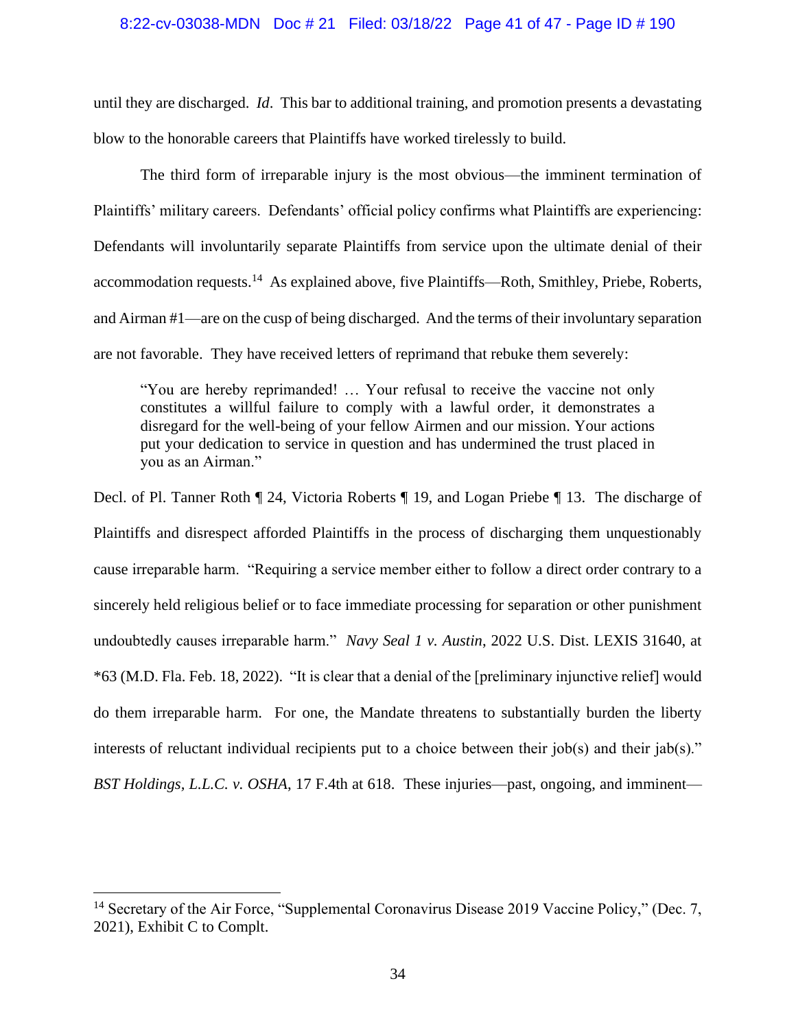#### 8:22-cv-03038-MDN Doc # 21 Filed: 03/18/22 Page 41 of 47 - Page ID # 190

until they are discharged. *Id*. This bar to additional training, and promotion presents a devastating blow to the honorable careers that Plaintiffs have worked tirelessly to build.

The third form of irreparable injury is the most obvious—the imminent termination of Plaintiffs' military careers. Defendants' official policy confirms what Plaintiffs are experiencing: Defendants will involuntarily separate Plaintiffs from service upon the ultimate denial of their accommodation requests.<sup>14</sup> As explained above, five Plaintiffs—Roth, Smithley, Priebe, Roberts, and Airman #1—are on the cusp of being discharged. And the terms of their involuntary separation are not favorable. They have received letters of reprimand that rebuke them severely:

"You are hereby reprimanded! … Your refusal to receive the vaccine not only constitutes a willful failure to comply with a lawful order, it demonstrates a disregard for the well-being of your fellow Airmen and our mission. Your actions put your dedication to service in question and has undermined the trust placed in you as an Airman."

Decl. of Pl. Tanner Roth ¶ 24, Victoria Roberts ¶ 19, and Logan Priebe ¶ 13. The discharge of Plaintiffs and disrespect afforded Plaintiffs in the process of discharging them unquestionably cause irreparable harm. "Requiring a service member either to follow a direct order contrary to a sincerely held religious belief or to face immediate processing for separation or other punishment undoubtedly causes irreparable harm." *Navy Seal 1 v. Austin*, 2022 U.S. Dist. LEXIS 31640, at \*63 (M.D. Fla. Feb. 18, 2022). "It is clear that a denial of the [preliminary injunctive relief] would do them irreparable harm. For one, the Mandate threatens to substantially burden the liberty interests of reluctant individual recipients put to a choice between their job(s) and their jab(s)." *BST Holdings, L.L.C. v. OSHA*, 17 F.4th at 618. These injuries—past, ongoing, and imminent—

<sup>&</sup>lt;sup>14</sup> Secretary of the Air Force, "Supplemental Coronavirus Disease 2019 Vaccine Policy," (Dec. 7, 2021), Exhibit C to Complt.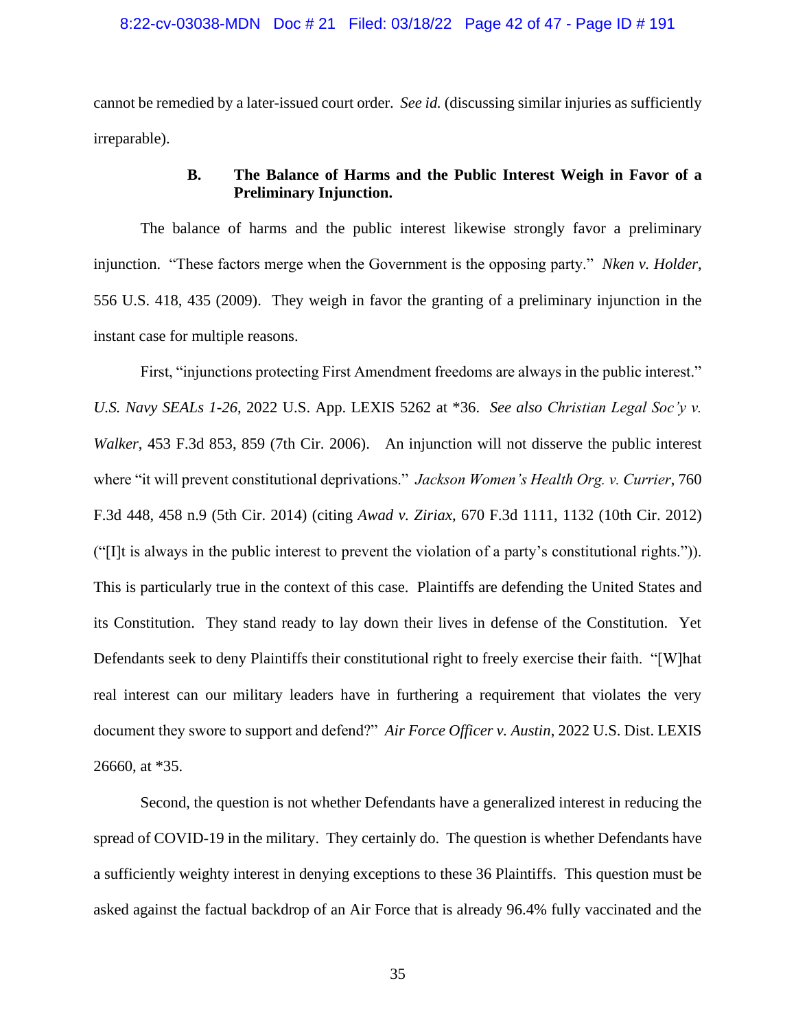#### 8:22-cv-03038-MDN Doc # 21 Filed: 03/18/22 Page 42 of 47 - Page ID # 191

cannot be remedied by a later-issued court order. *See id.* (discussing similar injuries as sufficiently irreparable).

# **B. The Balance of Harms and the Public Interest Weigh in Favor of a Preliminary Injunction.**

The balance of harms and the public interest likewise strongly favor a preliminary injunction. "These factors merge when the Government is the opposing party." *Nken v. Holder*, 556 U.S. 418, 435 (2009). They weigh in favor the granting of a preliminary injunction in the instant case for multiple reasons.

First, "injunctions protecting First Amendment freedoms are always in the public interest." *U.S. Navy SEALs 1-26*, 2022 U.S. App. LEXIS 5262 at \*36. *See also Christian Legal Soc'y v. Walker*, 453 F.3d 853, 859 (7th Cir. 2006). An injunction will not disserve the public interest where "it will prevent constitutional deprivations." *Jackson Women's Health Org. v. Currier*, 760 F.3d 448, 458 n.9 (5th Cir. 2014) (citing *Awad v. Ziriax*, 670 F.3d 1111, 1132 (10th Cir. 2012) ("[I]t is always in the public interest to prevent the violation of a party's constitutional rights.")). This is particularly true in the context of this case. Plaintiffs are defending the United States and its Constitution. They stand ready to lay down their lives in defense of the Constitution. Yet Defendants seek to deny Plaintiffs their constitutional right to freely exercise their faith. "[W]hat real interest can our military leaders have in furthering a requirement that violates the very document they swore to support and defend?" *Air Force Officer v. Austin*, 2022 U.S. Dist. LEXIS 26660, at \*35.

Second, the question is not whether Defendants have a generalized interest in reducing the spread of COVID-19 in the military. They certainly do. The question is whether Defendants have a sufficiently weighty interest in denying exceptions to these 36 Plaintiffs. This question must be asked against the factual backdrop of an Air Force that is already 96.4% fully vaccinated and the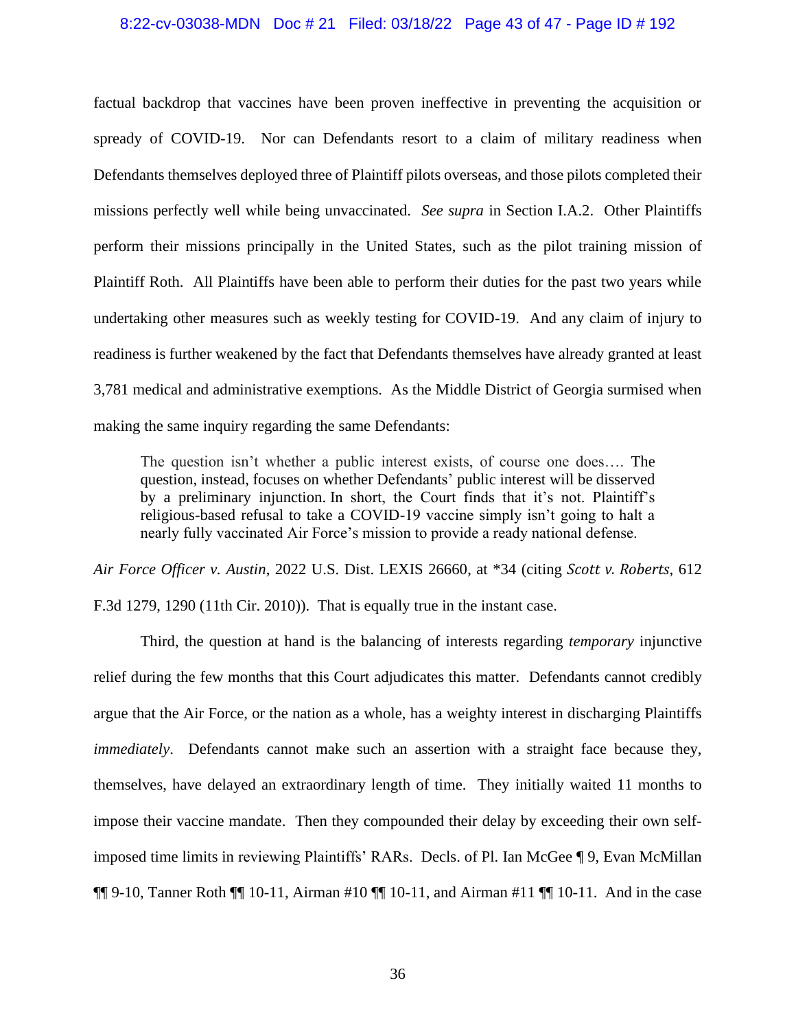#### 8:22-cv-03038-MDN Doc # 21 Filed: 03/18/22 Page 43 of 47 - Page ID # 192

factual backdrop that vaccines have been proven ineffective in preventing the acquisition or spready of COVID-19. Nor can Defendants resort to a claim of military readiness when Defendants themselves deployed three of Plaintiff pilots overseas, and those pilots completed their missions perfectly well while being unvaccinated. *See supra* in Section I.A.2. Other Plaintiffs perform their missions principally in the United States, such as the pilot training mission of Plaintiff Roth. All Plaintiffs have been able to perform their duties for the past two years while undertaking other measures such as weekly testing for COVID-19. And any claim of injury to readiness is further weakened by the fact that Defendants themselves have already granted at least 3,781 medical and administrative exemptions. As the Middle District of Georgia surmised when making the same inquiry regarding the same Defendants:

The question isn't whether a public interest exists, of course one does…. The question, instead, focuses on whether Defendants' public interest will be disserved by a preliminary injunction. In short, the Court finds that it's not. Plaintiff's religious-based refusal to take a COVID-19 vaccine simply isn't going to halt a nearly fully vaccinated Air Force's mission to provide a ready national defense.

*Air Force Officer v. Austin*, 2022 U.S. Dist. LEXIS 26660, at \*34 (citing *Scott v. Roberts*, 612 F.3d 1279, 1290 (11th Cir. 2010)). That is equally true in the instant case.

Third, the question at hand is the balancing of interests regarding *temporary* injunctive relief during the few months that this Court adjudicates this matter. Defendants cannot credibly argue that the Air Force, or the nation as a whole, has a weighty interest in discharging Plaintiffs *immediately*. Defendants cannot make such an assertion with a straight face because they, themselves, have delayed an extraordinary length of time. They initially waited 11 months to impose their vaccine mandate. Then they compounded their delay by exceeding their own selfimposed time limits in reviewing Plaintiffs' RARs. Decls. of Pl. Ian McGee ¶ 9, Evan McMillan  $\P\P$  9-10, Tanner Roth  $\P$  10-11, Airman #10  $\P$  10-11, and Airman #11  $\P$  10-11. And in the case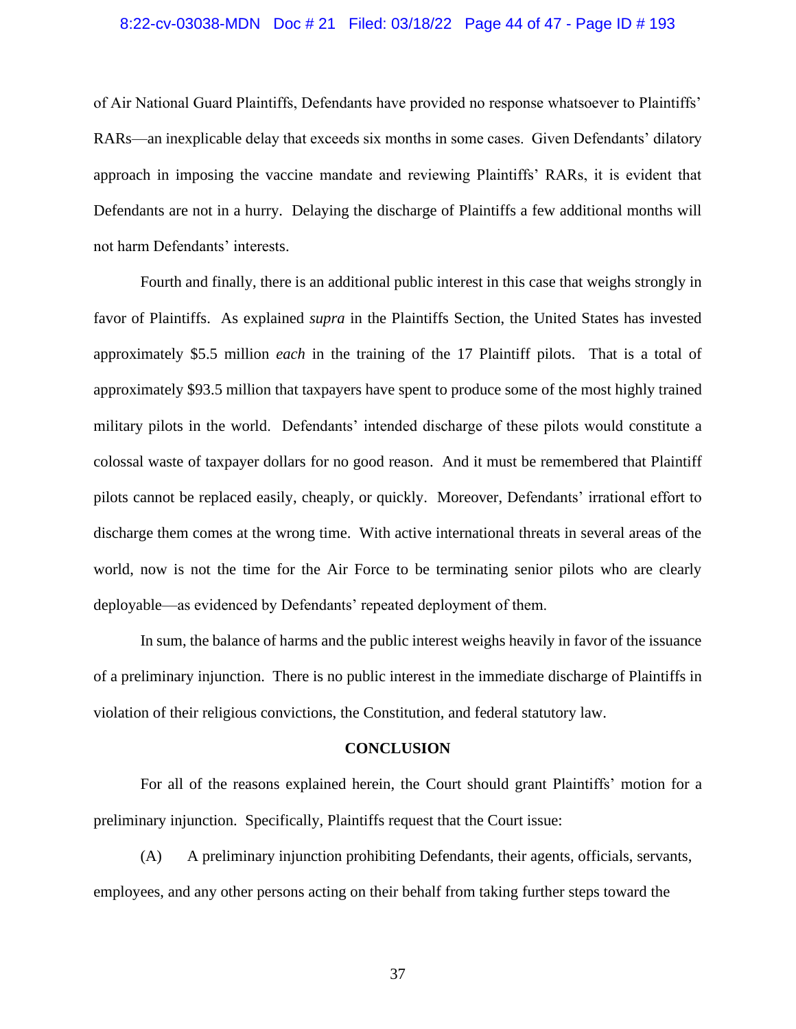#### 8:22-cv-03038-MDN Doc # 21 Filed: 03/18/22 Page 44 of 47 - Page ID # 193

of Air National Guard Plaintiffs, Defendants have provided no response whatsoever to Plaintiffs' RARs—an inexplicable delay that exceeds six months in some cases. Given Defendants' dilatory approach in imposing the vaccine mandate and reviewing Plaintiffs' RARs, it is evident that Defendants are not in a hurry. Delaying the discharge of Plaintiffs a few additional months will not harm Defendants' interests.

Fourth and finally, there is an additional public interest in this case that weighs strongly in favor of Plaintiffs. As explained *supra* in the Plaintiffs Section, the United States has invested approximately \$5.5 million *each* in the training of the 17 Plaintiff pilots. That is a total of approximately \$93.5 million that taxpayers have spent to produce some of the most highly trained military pilots in the world. Defendants' intended discharge of these pilots would constitute a colossal waste of taxpayer dollars for no good reason. And it must be remembered that Plaintiff pilots cannot be replaced easily, cheaply, or quickly. Moreover, Defendants' irrational effort to discharge them comes at the wrong time. With active international threats in several areas of the world, now is not the time for the Air Force to be terminating senior pilots who are clearly deployable—as evidenced by Defendants' repeated deployment of them.

In sum, the balance of harms and the public interest weighs heavily in favor of the issuance of a preliminary injunction. There is no public interest in the immediate discharge of Plaintiffs in violation of their religious convictions, the Constitution, and federal statutory law.

#### **CONCLUSION**

For all of the reasons explained herein, the Court should grant Plaintiffs' motion for a preliminary injunction. Specifically, Plaintiffs request that the Court issue:

(A) A preliminary injunction prohibiting Defendants, their agents, officials, servants, employees, and any other persons acting on their behalf from taking further steps toward the

37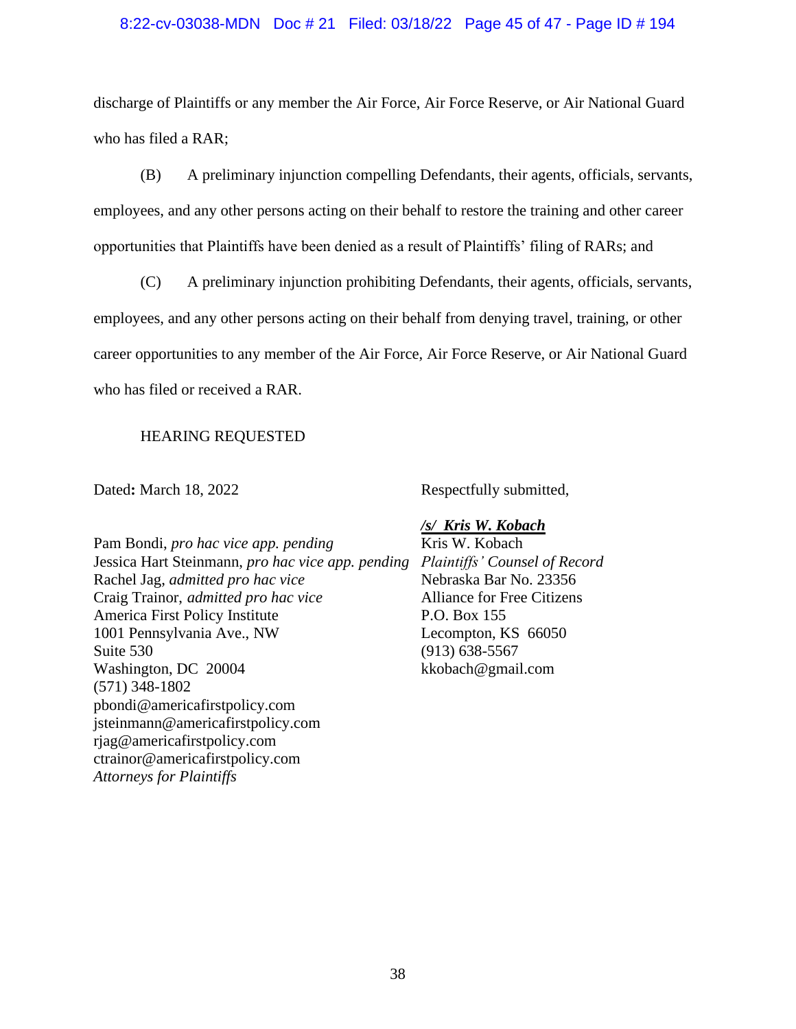#### 8:22-cv-03038-MDN Doc # 21 Filed: 03/18/22 Page 45 of 47 - Page ID # 194

discharge of Plaintiffs or any member the Air Force, Air Force Reserve, or Air National Guard who has filed a RAR;

(B) A preliminary injunction compelling Defendants, their agents, officials, servants, employees, and any other persons acting on their behalf to restore the training and other career opportunities that Plaintiffs have been denied as a result of Plaintiffs' filing of RARs; and

(C) A preliminary injunction prohibiting Defendants, their agents, officials, servants, employees, and any other persons acting on their behalf from denying travel, training, or other career opportunities to any member of the Air Force, Air Force Reserve, or Air National Guard who has filed or received a RAR.

### HEARING REQUESTED

Dated: March 18, 2022 Respectfully submitted,

Pam Bondi, *pro hac vice app. pending* Kris W. Kobach Jessica Hart Steinmann, *pro hac vice app. pending Plaintiffs' Counsel of Record* Rachel Jag, *admitted pro hac vice* Nebraska Bar No. 23356 Craig Trainor, *admitted pro hac vice* Alliance for Free Citizens America First Policy Institute P.O. Box 155 1001 Pennsylvania Ave., NW Lecompton, KS 66050 Suite 530 (913) 638-5567 Washington, DC 20004 kkobach@gmail.com (571) 348-1802 pbondi@americafirstpolicy.com jsteinmann@americafirstpolicy.com rjag@americafirstpolicy.com ctrainor@americafirstpolicy.com *Attorneys for Plaintiffs*

### */s/ Kris W. Kobach*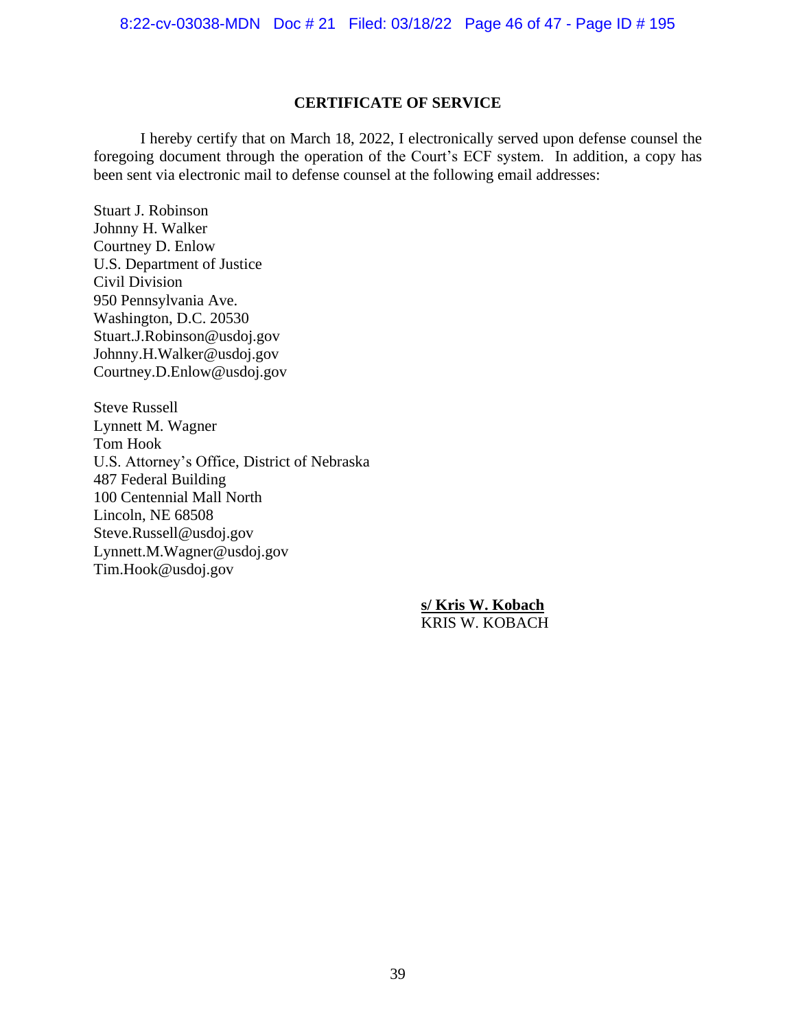### **CERTIFICATE OF SERVICE**

I hereby certify that on March 18, 2022, I electronically served upon defense counsel the foregoing document through the operation of the Court's ECF system. In addition, a copy has been sent via electronic mail to defense counsel at the following email addresses:

Stuart J. Robinson Johnny H. Walker Courtney D. Enlow U.S. Department of Justice Civil Division 950 Pennsylvania Ave. Washington, D.C. 20530 Stuart.J.Robinson@usdoj.gov Johnny.H.Walker@usdoj.gov Courtney.D.Enlow@usdoj.gov

Steve Russell Lynnett M. Wagner Tom Hook U.S. Attorney's Office, District of Nebraska 487 Federal Building 100 Centennial Mall North Lincoln, NE 68508 Steve.Russell@usdoj.gov Lynnett.M.Wagner@usdoj.gov Tim.Hook@usdoj.gov

> **s/ Kris W. Kobach** KRIS W. KOBACH